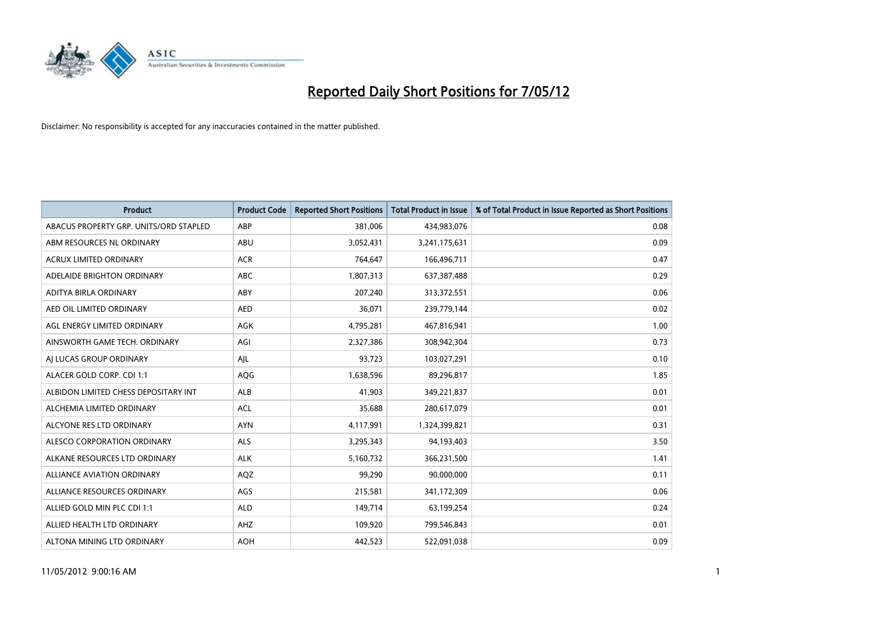

| <b>Product</b>                         | <b>Product Code</b> | <b>Reported Short Positions</b> | <b>Total Product in Issue</b> | % of Total Product in Issue Reported as Short Positions |
|----------------------------------------|---------------------|---------------------------------|-------------------------------|---------------------------------------------------------|
| ABACUS PROPERTY GRP. UNITS/ORD STAPLED | ABP                 | 381,006                         | 434,983,076                   | 0.08                                                    |
| ABM RESOURCES NL ORDINARY              | ABU                 | 3,052,431                       | 3,241,175,631                 | 0.09                                                    |
| <b>ACRUX LIMITED ORDINARY</b>          | <b>ACR</b>          | 764,647                         | 166,496,711                   | 0.47                                                    |
| ADELAIDE BRIGHTON ORDINARY             | <b>ABC</b>          | 1,807,313                       | 637,387,488                   | 0.29                                                    |
| ADITYA BIRLA ORDINARY                  | ABY                 | 207,240                         | 313,372,551                   | 0.06                                                    |
| AED OIL LIMITED ORDINARY               | <b>AED</b>          | 36,071                          | 239,779,144                   | 0.02                                                    |
| AGL ENERGY LIMITED ORDINARY            | AGK                 | 4,795,281                       | 467,816,941                   | 1.00                                                    |
| AINSWORTH GAME TECH. ORDINARY          | AGI                 | 2,327,386                       | 308,942,304                   | 0.73                                                    |
| AI LUCAS GROUP ORDINARY                | AJL                 | 93,723                          | 103,027,291                   | 0.10                                                    |
| ALACER GOLD CORP. CDI 1:1              | AQG                 | 1,638,596                       | 89,296,817                    | 1.85                                                    |
| ALBIDON LIMITED CHESS DEPOSITARY INT   | ALB                 | 41,903                          | 349,221,837                   | 0.01                                                    |
| ALCHEMIA LIMITED ORDINARY              | <b>ACL</b>          | 35,688                          | 280,617,079                   | 0.01                                                    |
| ALCYONE RES LTD ORDINARY               | <b>AYN</b>          | 4,117,991                       | 1,324,399,821                 | 0.31                                                    |
| ALESCO CORPORATION ORDINARY            | ALS                 | 3,295,343                       | 94,193,403                    | 3.50                                                    |
| ALKANE RESOURCES LTD ORDINARY          | <b>ALK</b>          | 5,160,732                       | 366,231,500                   | 1.41                                                    |
| ALLIANCE AVIATION ORDINARY             | AQZ                 | 99,290                          | 90,000,000                    | 0.11                                                    |
| ALLIANCE RESOURCES ORDINARY            | AGS                 | 215,581                         | 341,172,309                   | 0.06                                                    |
| ALLIED GOLD MIN PLC CDI 1:1            | <b>ALD</b>          | 149,714                         | 63,199,254                    | 0.24                                                    |
| ALLIED HEALTH LTD ORDINARY             | AHZ                 | 109,920                         | 799,546,843                   | 0.01                                                    |
| ALTONA MINING LTD ORDINARY             | <b>AOH</b>          | 442,523                         | 522,091,038                   | 0.09                                                    |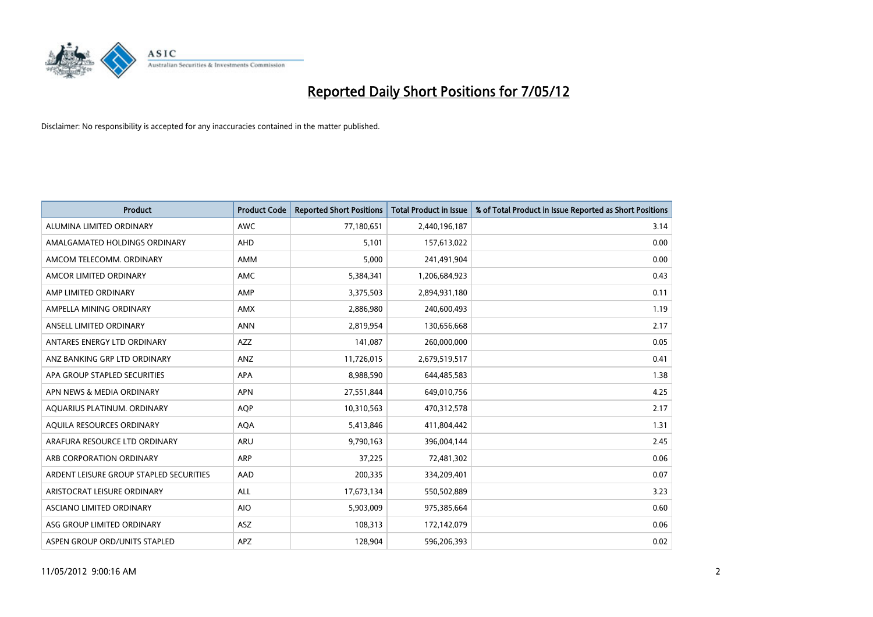

| <b>Product</b>                          | <b>Product Code</b> | <b>Reported Short Positions</b> | <b>Total Product in Issue</b> | % of Total Product in Issue Reported as Short Positions |
|-----------------------------------------|---------------------|---------------------------------|-------------------------------|---------------------------------------------------------|
| ALUMINA LIMITED ORDINARY                | <b>AWC</b>          | 77,180,651                      | 2,440,196,187                 | 3.14                                                    |
| AMALGAMATED HOLDINGS ORDINARY           | AHD                 | 5,101                           | 157,613,022                   | 0.00                                                    |
| AMCOM TELECOMM, ORDINARY                | AMM                 | 5,000                           | 241,491,904                   | 0.00                                                    |
| AMCOR LIMITED ORDINARY                  | AMC                 | 5,384,341                       | 1,206,684,923                 | 0.43                                                    |
| AMP LIMITED ORDINARY                    | AMP                 | 3,375,503                       | 2,894,931,180                 | 0.11                                                    |
| AMPELLA MINING ORDINARY                 | AMX                 | 2,886,980                       | 240,600,493                   | 1.19                                                    |
| ANSELL LIMITED ORDINARY                 | <b>ANN</b>          | 2,819,954                       | 130,656,668                   | 2.17                                                    |
| ANTARES ENERGY LTD ORDINARY             | <b>AZZ</b>          | 141,087                         | 260,000,000                   | 0.05                                                    |
| ANZ BANKING GRP LTD ORDINARY            | ANZ                 | 11,726,015                      | 2,679,519,517                 | 0.41                                                    |
| APA GROUP STAPLED SECURITIES            | <b>APA</b>          | 8,988,590                       | 644,485,583                   | 1.38                                                    |
| APN NEWS & MEDIA ORDINARY               | <b>APN</b>          | 27,551,844                      | 649,010,756                   | 4.25                                                    |
| AQUARIUS PLATINUM. ORDINARY             | AQP                 | 10,310,563                      | 470,312,578                   | 2.17                                                    |
| AQUILA RESOURCES ORDINARY               | <b>AQA</b>          | 5,413,846                       | 411,804,442                   | 1.31                                                    |
| ARAFURA RESOURCE LTD ORDINARY           | <b>ARU</b>          | 9,790,163                       | 396,004,144                   | 2.45                                                    |
| ARB CORPORATION ORDINARY                | ARP                 | 37,225                          | 72,481,302                    | 0.06                                                    |
| ARDENT LEISURE GROUP STAPLED SECURITIES | <b>AAD</b>          | 200,335                         | 334,209,401                   | 0.07                                                    |
| ARISTOCRAT LEISURE ORDINARY             | <b>ALL</b>          | 17,673,134                      | 550,502,889                   | 3.23                                                    |
| ASCIANO LIMITED ORDINARY                | <b>AIO</b>          | 5,903,009                       | 975,385,664                   | 0.60                                                    |
| ASG GROUP LIMITED ORDINARY              | ASZ                 | 108,313                         | 172,142,079                   | 0.06                                                    |
| ASPEN GROUP ORD/UNITS STAPLED           | APZ                 | 128,904                         | 596,206,393                   | 0.02                                                    |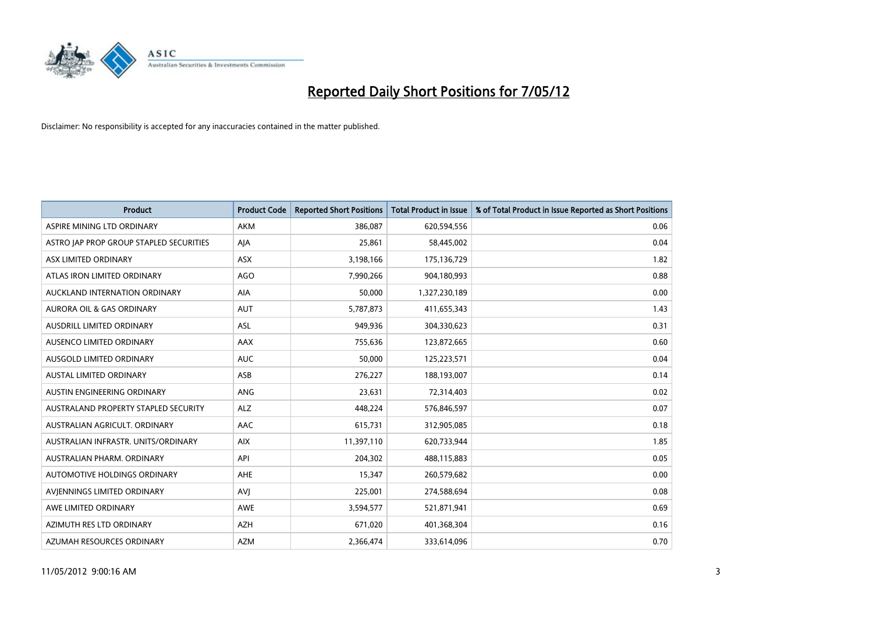

| <b>Product</b>                          | <b>Product Code</b> | <b>Reported Short Positions</b> | <b>Total Product in Issue</b> | % of Total Product in Issue Reported as Short Positions |
|-----------------------------------------|---------------------|---------------------------------|-------------------------------|---------------------------------------------------------|
| ASPIRE MINING LTD ORDINARY              | <b>AKM</b>          | 386,087                         | 620,594,556                   | 0.06                                                    |
| ASTRO JAP PROP GROUP STAPLED SECURITIES | AJA                 | 25,861                          | 58,445,002                    | 0.04                                                    |
| ASX LIMITED ORDINARY                    | <b>ASX</b>          | 3,198,166                       | 175,136,729                   | 1.82                                                    |
| ATLAS IRON LIMITED ORDINARY             | AGO                 | 7,990,266                       | 904,180,993                   | 0.88                                                    |
| AUCKLAND INTERNATION ORDINARY           | AIA                 | 50,000                          | 1,327,230,189                 | 0.00                                                    |
| <b>AURORA OIL &amp; GAS ORDINARY</b>    | <b>AUT</b>          | 5,787,873                       | 411,655,343                   | 1.43                                                    |
| AUSDRILL LIMITED ORDINARY               | ASL                 | 949,936                         | 304,330,623                   | 0.31                                                    |
| AUSENCO LIMITED ORDINARY                | AAX                 | 755,636                         | 123,872,665                   | 0.60                                                    |
| AUSGOLD LIMITED ORDINARY                | <b>AUC</b>          | 50.000                          | 125,223,571                   | 0.04                                                    |
| <b>AUSTAL LIMITED ORDINARY</b>          | ASB                 | 276,227                         | 188,193,007                   | 0.14                                                    |
| AUSTIN ENGINEERING ORDINARY             | ANG                 | 23,631                          | 72,314,403                    | 0.02                                                    |
| AUSTRALAND PROPERTY STAPLED SECURITY    | <b>ALZ</b>          | 448,224                         | 576,846,597                   | 0.07                                                    |
| AUSTRALIAN AGRICULT. ORDINARY           | AAC                 | 615,731                         | 312,905,085                   | 0.18                                                    |
| AUSTRALIAN INFRASTR. UNITS/ORDINARY     | <b>AIX</b>          | 11,397,110                      | 620,733,944                   | 1.85                                                    |
| AUSTRALIAN PHARM, ORDINARY              | API                 | 204,302                         | 488,115,883                   | 0.05                                                    |
| AUTOMOTIVE HOLDINGS ORDINARY            | AHE                 | 15,347                          | 260,579,682                   | 0.00                                                    |
| AVIENNINGS LIMITED ORDINARY             | <b>AVJ</b>          | 225,001                         | 274,588,694                   | 0.08                                                    |
| AWE LIMITED ORDINARY                    | <b>AWE</b>          | 3,594,577                       | 521,871,941                   | 0.69                                                    |
| AZIMUTH RES LTD ORDINARY                | <b>AZH</b>          | 671,020                         | 401,368,304                   | 0.16                                                    |
| AZUMAH RESOURCES ORDINARY               | <b>AZM</b>          | 2,366,474                       | 333,614,096                   | 0.70                                                    |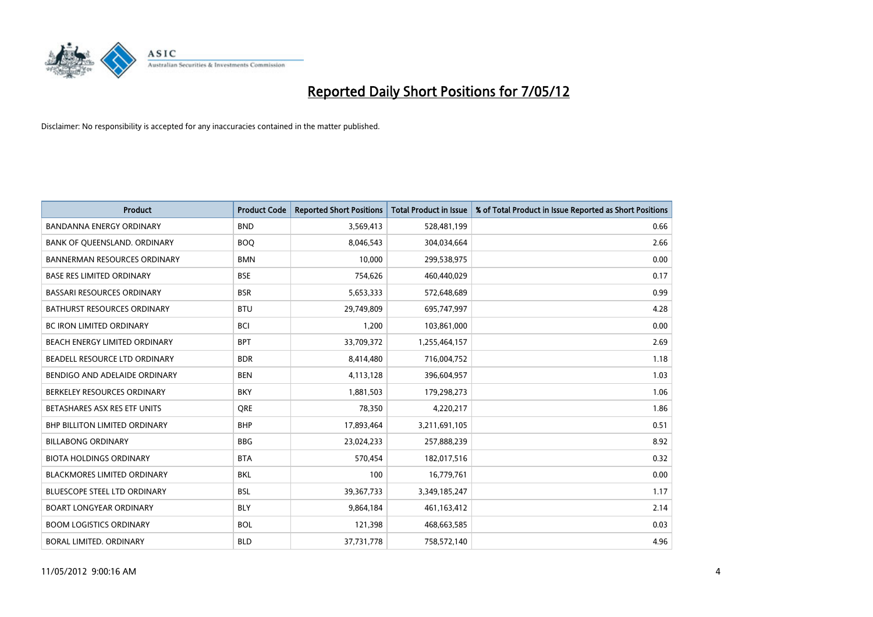

| <b>Product</b>                       | <b>Product Code</b> | <b>Reported Short Positions</b> | <b>Total Product in Issue</b> | % of Total Product in Issue Reported as Short Positions |
|--------------------------------------|---------------------|---------------------------------|-------------------------------|---------------------------------------------------------|
| <b>BANDANNA ENERGY ORDINARY</b>      | <b>BND</b>          | 3,569,413                       | 528,481,199                   | 0.66                                                    |
| BANK OF QUEENSLAND. ORDINARY         | <b>BOQ</b>          | 8,046,543                       | 304,034,664                   | 2.66                                                    |
| <b>BANNERMAN RESOURCES ORDINARY</b>  | <b>BMN</b>          | 10,000                          | 299,538,975                   | 0.00                                                    |
| <b>BASE RES LIMITED ORDINARY</b>     | <b>BSE</b>          | 754,626                         | 460,440,029                   | 0.17                                                    |
| <b>BASSARI RESOURCES ORDINARY</b>    | <b>BSR</b>          | 5,653,333                       | 572,648,689                   | 0.99                                                    |
| <b>BATHURST RESOURCES ORDINARY</b>   | <b>BTU</b>          | 29,749,809                      | 695,747,997                   | 4.28                                                    |
| <b>BC IRON LIMITED ORDINARY</b>      | <b>BCI</b>          | 1.200                           | 103,861,000                   | 0.00                                                    |
| BEACH ENERGY LIMITED ORDINARY        | <b>BPT</b>          | 33,709,372                      | 1,255,464,157                 | 2.69                                                    |
| BEADELL RESOURCE LTD ORDINARY        | <b>BDR</b>          | 8,414,480                       | 716,004,752                   | 1.18                                                    |
| BENDIGO AND ADELAIDE ORDINARY        | <b>BEN</b>          | 4,113,128                       | 396,604,957                   | 1.03                                                    |
| BERKELEY RESOURCES ORDINARY          | <b>BKY</b>          | 1,881,503                       | 179,298,273                   | 1.06                                                    |
| BETASHARES ASX RES ETF UNITS         | <b>ORE</b>          | 78,350                          | 4,220,217                     | 1.86                                                    |
| <b>BHP BILLITON LIMITED ORDINARY</b> | <b>BHP</b>          | 17,893,464                      | 3,211,691,105                 | 0.51                                                    |
| <b>BILLABONG ORDINARY</b>            | <b>BBG</b>          | 23,024,233                      | 257,888,239                   | 8.92                                                    |
| <b>BIOTA HOLDINGS ORDINARY</b>       | <b>BTA</b>          | 570,454                         | 182,017,516                   | 0.32                                                    |
| <b>BLACKMORES LIMITED ORDINARY</b>   | <b>BKL</b>          | 100                             | 16,779,761                    | 0.00                                                    |
| <b>BLUESCOPE STEEL LTD ORDINARY</b>  | <b>BSL</b>          | 39,367,733                      | 3,349,185,247                 | 1.17                                                    |
| BOART LONGYEAR ORDINARY              | <b>BLY</b>          | 9,864,184                       | 461,163,412                   | 2.14                                                    |
| <b>BOOM LOGISTICS ORDINARY</b>       | <b>BOL</b>          | 121,398                         | 468,663,585                   | 0.03                                                    |
| BORAL LIMITED, ORDINARY              | <b>BLD</b>          | 37,731,778                      | 758,572,140                   | 4.96                                                    |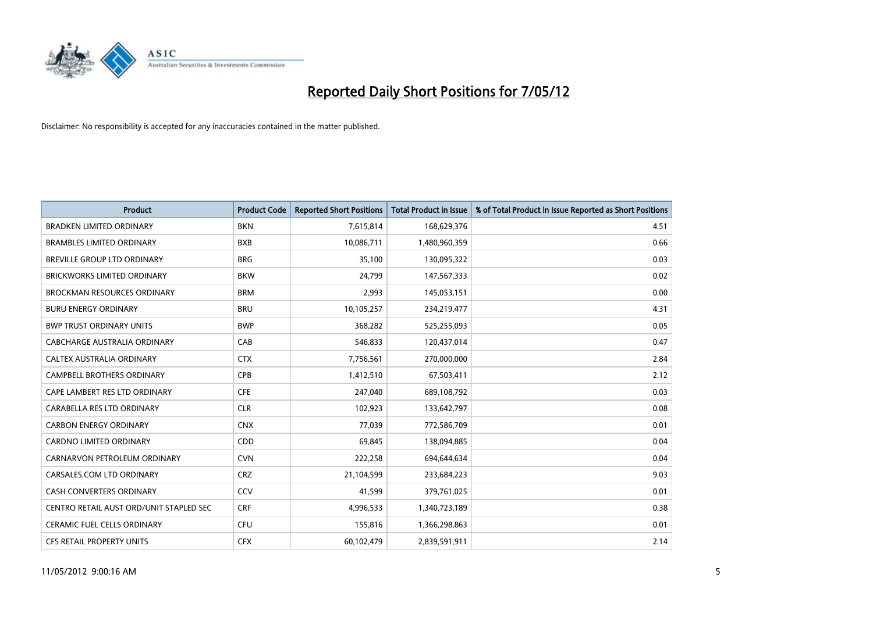

| <b>Product</b>                          | <b>Product Code</b> | <b>Reported Short Positions</b> | <b>Total Product in Issue</b> | % of Total Product in Issue Reported as Short Positions |
|-----------------------------------------|---------------------|---------------------------------|-------------------------------|---------------------------------------------------------|
| <b>BRADKEN LIMITED ORDINARY</b>         | <b>BKN</b>          | 7,615,814                       | 168,629,376                   | 4.51                                                    |
| <b>BRAMBLES LIMITED ORDINARY</b>        | <b>BXB</b>          | 10,086,711                      | 1,480,960,359                 | 0.66                                                    |
| <b>BREVILLE GROUP LTD ORDINARY</b>      | <b>BRG</b>          | 35,100                          | 130,095,322                   | 0.03                                                    |
| <b>BRICKWORKS LIMITED ORDINARY</b>      | <b>BKW</b>          | 24,799                          | 147,567,333                   | 0.02                                                    |
| <b>BROCKMAN RESOURCES ORDINARY</b>      | <b>BRM</b>          | 2,993                           | 145,053,151                   | 0.00                                                    |
| <b>BURU ENERGY ORDINARY</b>             | <b>BRU</b>          | 10,105,257                      | 234,219,477                   | 4.31                                                    |
| <b>BWP TRUST ORDINARY UNITS</b>         | <b>BWP</b>          | 368,282                         | 525,255,093                   | 0.05                                                    |
| <b>CABCHARGE AUSTRALIA ORDINARY</b>     | CAB                 | 546,833                         | 120,437,014                   | 0.47                                                    |
| CALTEX AUSTRALIA ORDINARY               | <b>CTX</b>          | 7,756,561                       | 270,000,000                   | 2.84                                                    |
| <b>CAMPBELL BROTHERS ORDINARY</b>       | <b>CPB</b>          | 1,412,510                       | 67,503,411                    | 2.12                                                    |
| CAPE LAMBERT RES LTD ORDINARY           | <b>CFE</b>          | 247,040                         | 689,108,792                   | 0.03                                                    |
| CARABELLA RES LTD ORDINARY              | <b>CLR</b>          | 102,923                         | 133,642,797                   | 0.08                                                    |
| <b>CARBON ENERGY ORDINARY</b>           | <b>CNX</b>          | 77,039                          | 772,586,709                   | 0.01                                                    |
| <b>CARDNO LIMITED ORDINARY</b>          | CDD                 | 69,845                          | 138,094,885                   | 0.04                                                    |
| CARNARVON PETROLEUM ORDINARY            | <b>CVN</b>          | 222,258                         | 694,644,634                   | 0.04                                                    |
| CARSALES.COM LTD ORDINARY               | <b>CRZ</b>          | 21,104,599                      | 233,684,223                   | 9.03                                                    |
| CASH CONVERTERS ORDINARY                | CCV                 | 41,599                          | 379,761,025                   | 0.01                                                    |
| CENTRO RETAIL AUST ORD/UNIT STAPLED SEC | <b>CRF</b>          | 4,996,533                       | 1,340,723,189                 | 0.38                                                    |
| CERAMIC FUEL CELLS ORDINARY             | <b>CFU</b>          | 155,816                         | 1,366,298,863                 | 0.01                                                    |
| CFS RETAIL PROPERTY UNITS               | <b>CFX</b>          | 60,102,479                      | 2,839,591,911                 | 2.14                                                    |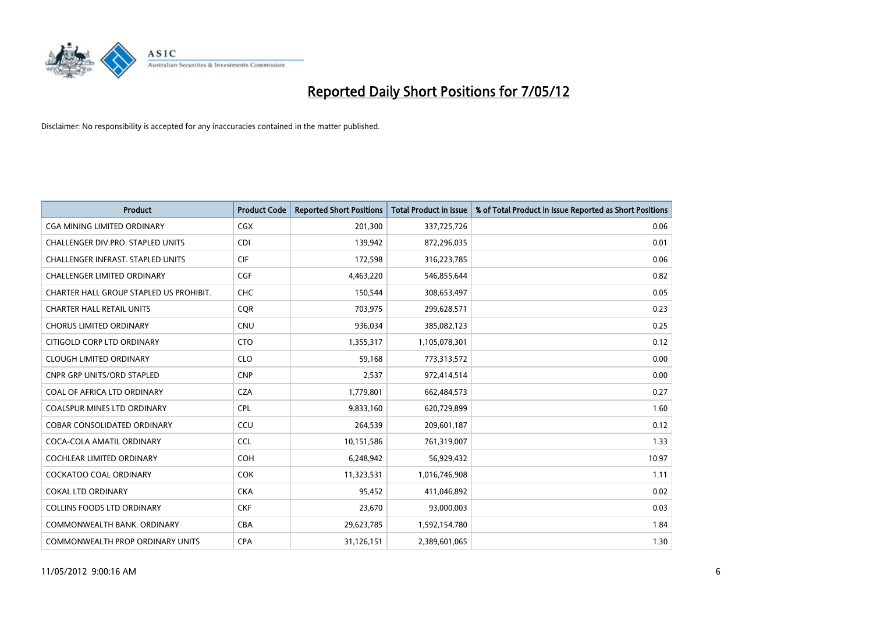

| <b>Product</b>                           | <b>Product Code</b> | <b>Reported Short Positions</b> | <b>Total Product in Issue</b> | % of Total Product in Issue Reported as Short Positions |
|------------------------------------------|---------------------|---------------------------------|-------------------------------|---------------------------------------------------------|
| <b>CGA MINING LIMITED ORDINARY</b>       | CGX                 | 201,300                         | 337,725,726                   | 0.06                                                    |
| CHALLENGER DIV.PRO. STAPLED UNITS        | <b>CDI</b>          | 139,942                         | 872,296,035                   | 0.01                                                    |
| <b>CHALLENGER INFRAST, STAPLED UNITS</b> | <b>CIF</b>          | 172,598                         | 316,223,785                   | 0.06                                                    |
| <b>CHALLENGER LIMITED ORDINARY</b>       | <b>CGF</b>          | 4,463,220                       | 546,855,644                   | 0.82                                                    |
| CHARTER HALL GROUP STAPLED US PROHIBIT.  | <b>CHC</b>          | 150,544                         | 308,653,497                   | 0.05                                                    |
| <b>CHARTER HALL RETAIL UNITS</b>         | CQR                 | 703,975                         | 299,628,571                   | 0.23                                                    |
| <b>CHORUS LIMITED ORDINARY</b>           | <b>CNU</b>          | 936,034                         | 385,082,123                   | 0.25                                                    |
| CITIGOLD CORP LTD ORDINARY               | <b>CTO</b>          | 1,355,317                       | 1,105,078,301                 | 0.12                                                    |
| <b>CLOUGH LIMITED ORDINARY</b>           | <b>CLO</b>          | 59,168                          | 773,313,572                   | 0.00                                                    |
| <b>CNPR GRP UNITS/ORD STAPLED</b>        | <b>CNP</b>          | 2,537                           | 972,414,514                   | 0.00                                                    |
| COAL OF AFRICA LTD ORDINARY              | <b>CZA</b>          | 1,779,801                       | 662,484,573                   | 0.27                                                    |
| <b>COALSPUR MINES LTD ORDINARY</b>       | <b>CPL</b>          | 9,833,160                       | 620,729,899                   | 1.60                                                    |
| COBAR CONSOLIDATED ORDINARY              | CCU                 | 264,539                         | 209,601,187                   | 0.12                                                    |
| COCA-COLA AMATIL ORDINARY                | <b>CCL</b>          | 10,151,586                      | 761,319,007                   | 1.33                                                    |
| <b>COCHLEAR LIMITED ORDINARY</b>         | COH                 | 6,248,942                       | 56,929,432                    | 10.97                                                   |
| <b>COCKATOO COAL ORDINARY</b>            | <b>COK</b>          | 11,323,531                      | 1,016,746,908                 | 1.11                                                    |
| <b>COKAL LTD ORDINARY</b>                | <b>CKA</b>          | 95,452                          | 411,046,892                   | 0.02                                                    |
| <b>COLLINS FOODS LTD ORDINARY</b>        | <b>CKF</b>          | 23,670                          | 93,000,003                    | 0.03                                                    |
| COMMONWEALTH BANK, ORDINARY              | <b>CBA</b>          | 29,623,785                      | 1,592,154,780                 | 1.84                                                    |
| <b>COMMONWEALTH PROP ORDINARY UNITS</b>  | <b>CPA</b>          | 31,126,151                      | 2,389,601,065                 | 1.30                                                    |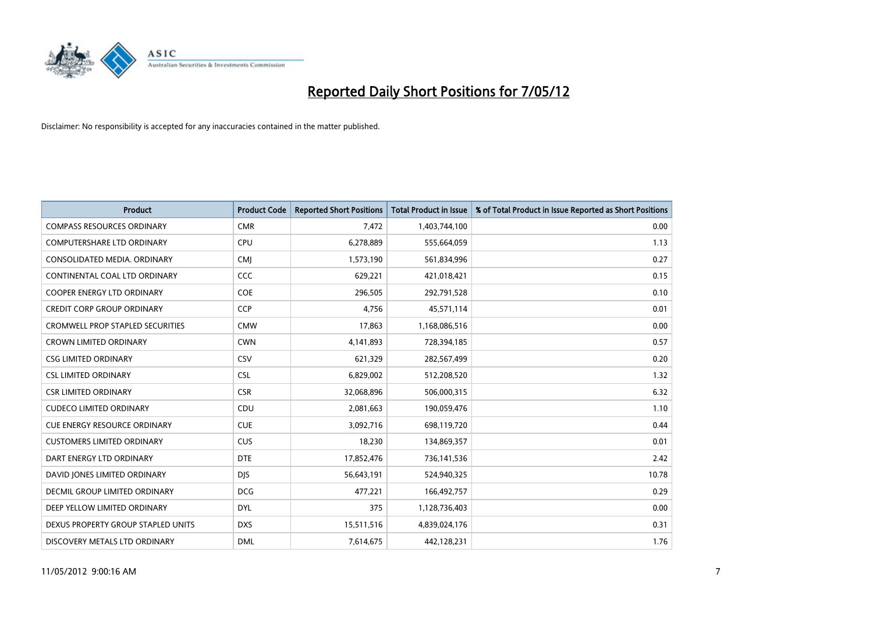

| <b>Product</b>                          | <b>Product Code</b> | <b>Reported Short Positions</b> | <b>Total Product in Issue</b> | % of Total Product in Issue Reported as Short Positions |
|-----------------------------------------|---------------------|---------------------------------|-------------------------------|---------------------------------------------------------|
| <b>COMPASS RESOURCES ORDINARY</b>       | <b>CMR</b>          | 7,472                           | 1,403,744,100                 | 0.00                                                    |
| COMPUTERSHARE LTD ORDINARY              | <b>CPU</b>          | 6,278,889                       | 555,664,059                   | 1.13                                                    |
| CONSOLIDATED MEDIA. ORDINARY            | <b>CMI</b>          | 1,573,190                       | 561,834,996                   | 0.27                                                    |
| CONTINENTAL COAL LTD ORDINARY           | <b>CCC</b>          | 629,221                         | 421,018,421                   | 0.15                                                    |
| <b>COOPER ENERGY LTD ORDINARY</b>       | <b>COE</b>          | 296,505                         | 292,791,528                   | 0.10                                                    |
| <b>CREDIT CORP GROUP ORDINARY</b>       | CCP                 | 4,756                           | 45,571,114                    | 0.01                                                    |
| <b>CROMWELL PROP STAPLED SECURITIES</b> | <b>CMW</b>          | 17,863                          | 1,168,086,516                 | 0.00                                                    |
| <b>CROWN LIMITED ORDINARY</b>           | <b>CWN</b>          | 4,141,893                       | 728,394,185                   | 0.57                                                    |
| <b>CSG LIMITED ORDINARY</b>             | CSV                 | 621,329                         | 282,567,499                   | 0.20                                                    |
| <b>CSL LIMITED ORDINARY</b>             | <b>CSL</b>          | 6,829,002                       | 512,208,520                   | 1.32                                                    |
| <b>CSR LIMITED ORDINARY</b>             | <b>CSR</b>          | 32,068,896                      | 506,000,315                   | 6.32                                                    |
| <b>CUDECO LIMITED ORDINARY</b>          | <b>CDU</b>          | 2,081,663                       | 190,059,476                   | 1.10                                                    |
| <b>CUE ENERGY RESOURCE ORDINARY</b>     | <b>CUE</b>          | 3,092,716                       | 698,119,720                   | 0.44                                                    |
| <b>CUSTOMERS LIMITED ORDINARY</b>       | <b>CUS</b>          | 18,230                          | 134,869,357                   | 0.01                                                    |
| DART ENERGY LTD ORDINARY                | <b>DTE</b>          | 17,852,476                      | 736,141,536                   | 2.42                                                    |
| DAVID JONES LIMITED ORDINARY            | <b>DJS</b>          | 56,643,191                      | 524,940,325                   | 10.78                                                   |
| DECMIL GROUP LIMITED ORDINARY           | <b>DCG</b>          | 477,221                         | 166,492,757                   | 0.29                                                    |
| DEEP YELLOW LIMITED ORDINARY            | <b>DYL</b>          | 375                             | 1,128,736,403                 | 0.00                                                    |
| DEXUS PROPERTY GROUP STAPLED UNITS      | <b>DXS</b>          | 15,511,516                      | 4,839,024,176                 | 0.31                                                    |
| DISCOVERY METALS LTD ORDINARY           | <b>DML</b>          | 7,614,675                       | 442,128,231                   | 1.76                                                    |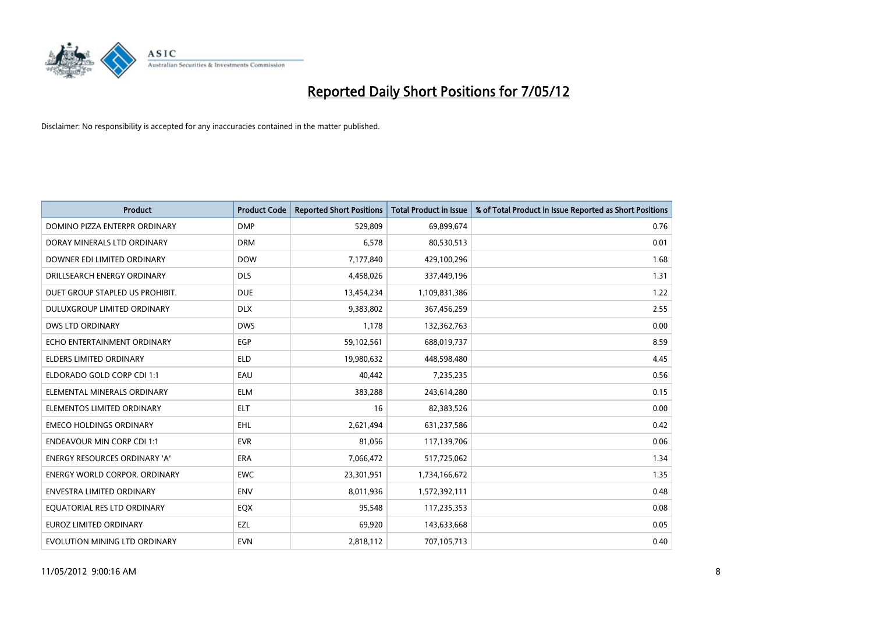

| <b>Product</b>                       | <b>Product Code</b> | <b>Reported Short Positions</b> | <b>Total Product in Issue</b> | % of Total Product in Issue Reported as Short Positions |
|--------------------------------------|---------------------|---------------------------------|-------------------------------|---------------------------------------------------------|
| DOMINO PIZZA ENTERPR ORDINARY        | <b>DMP</b>          | 529,809                         | 69,899,674                    | 0.76                                                    |
| DORAY MINERALS LTD ORDINARY          | <b>DRM</b>          | 6,578                           | 80,530,513                    | 0.01                                                    |
| DOWNER EDI LIMITED ORDINARY          | <b>DOW</b>          | 7,177,840                       | 429,100,296                   | 1.68                                                    |
| DRILLSEARCH ENERGY ORDINARY          | <b>DLS</b>          | 4,458,026                       | 337,449,196                   | 1.31                                                    |
| DUET GROUP STAPLED US PROHIBIT.      | <b>DUE</b>          | 13,454,234                      | 1,109,831,386                 | 1.22                                                    |
| DULUXGROUP LIMITED ORDINARY          | <b>DLX</b>          | 9,383,802                       | 367,456,259                   | 2.55                                                    |
| <b>DWS LTD ORDINARY</b>              | <b>DWS</b>          | 1,178                           | 132,362,763                   | 0.00                                                    |
| ECHO ENTERTAINMENT ORDINARY          | <b>EGP</b>          | 59,102,561                      | 688,019,737                   | 8.59                                                    |
| <b>ELDERS LIMITED ORDINARY</b>       | <b>ELD</b>          | 19,980,632                      | 448,598,480                   | 4.45                                                    |
| ELDORADO GOLD CORP CDI 1:1           | EAU                 | 40,442                          | 7,235,235                     | 0.56                                                    |
| ELEMENTAL MINERALS ORDINARY          | <b>ELM</b>          | 383,288                         | 243,614,280                   | 0.15                                                    |
| ELEMENTOS LIMITED ORDINARY           | <b>ELT</b>          | 16                              | 82,383,526                    | 0.00                                                    |
| <b>EMECO HOLDINGS ORDINARY</b>       | <b>EHL</b>          | 2,621,494                       | 631,237,586                   | 0.42                                                    |
| <b>ENDEAVOUR MIN CORP CDI 1:1</b>    | <b>EVR</b>          | 81,056                          | 117,139,706                   | 0.06                                                    |
| <b>ENERGY RESOURCES ORDINARY 'A'</b> | <b>ERA</b>          | 7,066,472                       | 517,725,062                   | 1.34                                                    |
| <b>ENERGY WORLD CORPOR. ORDINARY</b> | <b>EWC</b>          | 23,301,951                      | 1,734,166,672                 | 1.35                                                    |
| ENVESTRA LIMITED ORDINARY            | <b>ENV</b>          | 8,011,936                       | 1,572,392,111                 | 0.48                                                    |
| EQUATORIAL RES LTD ORDINARY          | EQX                 | 95,548                          | 117,235,353                   | 0.08                                                    |
| <b>EUROZ LIMITED ORDINARY</b>        | EZL                 | 69,920                          | 143,633,668                   | 0.05                                                    |
| EVOLUTION MINING LTD ORDINARY        | <b>EVN</b>          | 2,818,112                       | 707,105,713                   | 0.40                                                    |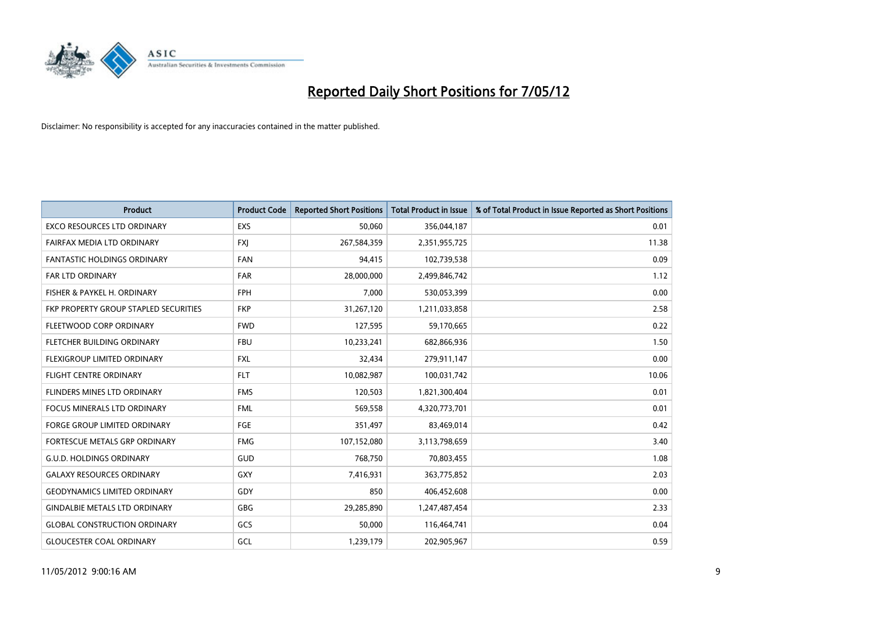

| <b>Product</b>                        | <b>Product Code</b> | <b>Reported Short Positions</b> | <b>Total Product in Issue</b> | % of Total Product in Issue Reported as Short Positions |
|---------------------------------------|---------------------|---------------------------------|-------------------------------|---------------------------------------------------------|
| <b>EXCO RESOURCES LTD ORDINARY</b>    | <b>EXS</b>          | 50,060                          | 356,044,187                   | 0.01                                                    |
| FAIRFAX MEDIA LTD ORDINARY            | <b>FXI</b>          | 267,584,359                     | 2,351,955,725                 | 11.38                                                   |
| <b>FANTASTIC HOLDINGS ORDINARY</b>    | <b>FAN</b>          | 94,415                          | 102,739,538                   | 0.09                                                    |
| <b>FAR LTD ORDINARY</b>               | <b>FAR</b>          | 28,000,000                      | 2,499,846,742                 | 1.12                                                    |
| FISHER & PAYKEL H. ORDINARY           | <b>FPH</b>          | 7,000                           | 530,053,399                   | 0.00                                                    |
| FKP PROPERTY GROUP STAPLED SECURITIES | <b>FKP</b>          | 31,267,120                      | 1,211,033,858                 | 2.58                                                    |
| FLEETWOOD CORP ORDINARY               | <b>FWD</b>          | 127,595                         | 59,170,665                    | 0.22                                                    |
| FLETCHER BUILDING ORDINARY            | <b>FBU</b>          | 10,233,241                      | 682,866,936                   | 1.50                                                    |
| FLEXIGROUP LIMITED ORDINARY           | <b>FXL</b>          | 32,434                          | 279,911,147                   | 0.00                                                    |
| <b>FLIGHT CENTRE ORDINARY</b>         | <b>FLT</b>          | 10,082,987                      | 100,031,742                   | 10.06                                                   |
| FLINDERS MINES LTD ORDINARY           | <b>FMS</b>          | 120,503                         | 1,821,300,404                 | 0.01                                                    |
| <b>FOCUS MINERALS LTD ORDINARY</b>    | <b>FML</b>          | 569,558                         | 4,320,773,701                 | 0.01                                                    |
| FORGE GROUP LIMITED ORDINARY          | FGE                 | 351,497                         | 83,469,014                    | 0.42                                                    |
| FORTESCUE METALS GRP ORDINARY         | <b>FMG</b>          | 107,152,080                     | 3,113,798,659                 | 3.40                                                    |
| <b>G.U.D. HOLDINGS ORDINARY</b>       | GUD                 | 768,750                         | 70,803,455                    | 1.08                                                    |
| <b>GALAXY RESOURCES ORDINARY</b>      | GXY                 | 7,416,931                       | 363,775,852                   | 2.03                                                    |
| <b>GEODYNAMICS LIMITED ORDINARY</b>   | GDY                 | 850                             | 406,452,608                   | 0.00                                                    |
| <b>GINDALBIE METALS LTD ORDINARY</b>  | <b>GBG</b>          | 29,285,890                      | 1,247,487,454                 | 2.33                                                    |
| <b>GLOBAL CONSTRUCTION ORDINARY</b>   | GCS                 | 50,000                          | 116,464,741                   | 0.04                                                    |
| <b>GLOUCESTER COAL ORDINARY</b>       | GCL                 | 1,239,179                       | 202,905,967                   | 0.59                                                    |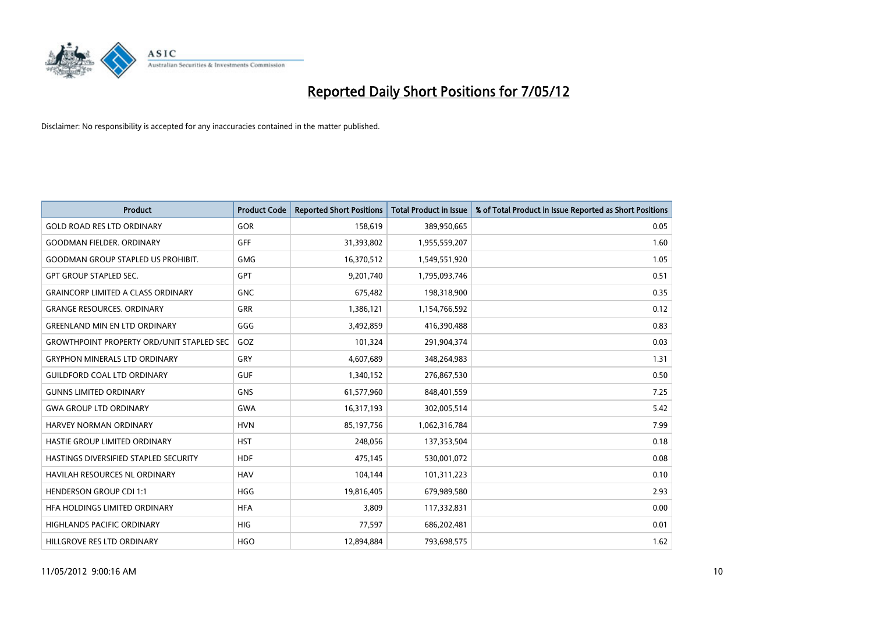

| <b>Product</b>                                   | <b>Product Code</b> | <b>Reported Short Positions</b> | <b>Total Product in Issue</b> | % of Total Product in Issue Reported as Short Positions |
|--------------------------------------------------|---------------------|---------------------------------|-------------------------------|---------------------------------------------------------|
| <b>GOLD ROAD RES LTD ORDINARY</b>                | <b>GOR</b>          | 158,619                         | 389,950,665                   | 0.05                                                    |
| <b>GOODMAN FIELDER, ORDINARY</b>                 | GFF                 | 31,393,802                      | 1,955,559,207                 | 1.60                                                    |
| <b>GOODMAN GROUP STAPLED US PROHIBIT.</b>        | <b>GMG</b>          | 16,370,512                      | 1,549,551,920                 | 1.05                                                    |
| <b>GPT GROUP STAPLED SEC.</b>                    | GPT                 | 9,201,740                       | 1,795,093,746                 | 0.51                                                    |
| <b>GRAINCORP LIMITED A CLASS ORDINARY</b>        | <b>GNC</b>          | 675,482                         | 198,318,900                   | 0.35                                                    |
| <b>GRANGE RESOURCES, ORDINARY</b>                | <b>GRR</b>          | 1,386,121                       | 1,154,766,592                 | 0.12                                                    |
| <b>GREENLAND MIN EN LTD ORDINARY</b>             | GGG                 | 3,492,859                       | 416,390,488                   | 0.83                                                    |
| <b>GROWTHPOINT PROPERTY ORD/UNIT STAPLED SEC</b> | GOZ                 | 101,324                         | 291,904,374                   | 0.03                                                    |
| <b>GRYPHON MINERALS LTD ORDINARY</b>             | GRY                 | 4,607,689                       | 348,264,983                   | 1.31                                                    |
| <b>GUILDFORD COAL LTD ORDINARY</b>               | <b>GUF</b>          | 1,340,152                       | 276,867,530                   | 0.50                                                    |
| <b>GUNNS LIMITED ORDINARY</b>                    | <b>GNS</b>          | 61,577,960                      | 848,401,559                   | 7.25                                                    |
| <b>GWA GROUP LTD ORDINARY</b>                    | <b>GWA</b>          | 16,317,193                      | 302,005,514                   | 5.42                                                    |
| HARVEY NORMAN ORDINARY                           | <b>HVN</b>          | 85,197,756                      | 1,062,316,784                 | 7.99                                                    |
| HASTIE GROUP LIMITED ORDINARY                    | <b>HST</b>          | 248,056                         | 137,353,504                   | 0.18                                                    |
| HASTINGS DIVERSIFIED STAPLED SECURITY            | <b>HDF</b>          | 475,145                         | 530,001,072                   | 0.08                                                    |
| HAVILAH RESOURCES NL ORDINARY                    | <b>HAV</b>          | 104,144                         | 101,311,223                   | 0.10                                                    |
| <b>HENDERSON GROUP CDI 1:1</b>                   | <b>HGG</b>          | 19,816,405                      | 679,989,580                   | 2.93                                                    |
| HFA HOLDINGS LIMITED ORDINARY                    | <b>HFA</b>          | 3,809                           | 117,332,831                   | 0.00                                                    |
| <b>HIGHLANDS PACIFIC ORDINARY</b>                | <b>HIG</b>          | 77,597                          | 686,202,481                   | 0.01                                                    |
| HILLGROVE RES LTD ORDINARY                       | <b>HGO</b>          | 12,894,884                      | 793,698,575                   | 1.62                                                    |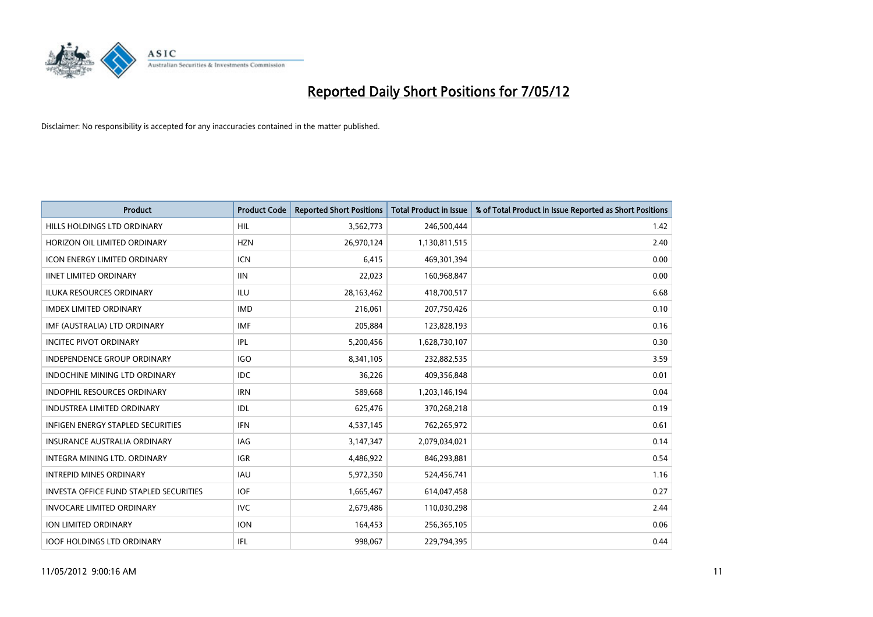

| <b>Product</b>                                | <b>Product Code</b> | <b>Reported Short Positions</b> | <b>Total Product in Issue</b> | % of Total Product in Issue Reported as Short Positions |
|-----------------------------------------------|---------------------|---------------------------------|-------------------------------|---------------------------------------------------------|
| HILLS HOLDINGS LTD ORDINARY                   | HIL                 | 3,562,773                       | 246,500,444                   | 1.42                                                    |
| HORIZON OIL LIMITED ORDINARY                  | <b>HZN</b>          | 26,970,124                      | 1,130,811,515                 | 2.40                                                    |
| <b>ICON ENERGY LIMITED ORDINARY</b>           | <b>ICN</b>          | 6,415                           | 469,301,394                   | 0.00                                                    |
| <b>IINET LIMITED ORDINARY</b>                 | <b>IIN</b>          | 22,023                          | 160,968,847                   | 0.00                                                    |
| <b>ILUKA RESOURCES ORDINARY</b>               | ILU                 | 28,163,462                      | 418,700,517                   | 6.68                                                    |
| <b>IMDEX LIMITED ORDINARY</b>                 | <b>IMD</b>          | 216,061                         | 207,750,426                   | 0.10                                                    |
| IMF (AUSTRALIA) LTD ORDINARY                  | <b>IMF</b>          | 205,884                         | 123,828,193                   | 0.16                                                    |
| <b>INCITEC PIVOT ORDINARY</b>                 | IPL                 | 5,200,456                       | 1,628,730,107                 | 0.30                                                    |
| INDEPENDENCE GROUP ORDINARY                   | <b>IGO</b>          | 8,341,105                       | 232,882,535                   | 3.59                                                    |
| INDOCHINE MINING LTD ORDINARY                 | IDC.                | 36,226                          | 409,356,848                   | 0.01                                                    |
| INDOPHIL RESOURCES ORDINARY                   | <b>IRN</b>          | 589,668                         | 1,203,146,194                 | 0.04                                                    |
| <b>INDUSTREA LIMITED ORDINARY</b>             | IDL                 | 625,476                         | 370,268,218                   | 0.19                                                    |
| <b>INFIGEN ENERGY STAPLED SECURITIES</b>      | <b>IFN</b>          | 4,537,145                       | 762,265,972                   | 0.61                                                    |
| <b>INSURANCE AUSTRALIA ORDINARY</b>           | <b>IAG</b>          | 3,147,347                       | 2,079,034,021                 | 0.14                                                    |
| INTEGRA MINING LTD, ORDINARY                  | <b>IGR</b>          | 4,486,922                       | 846,293,881                   | 0.54                                                    |
| <b>INTREPID MINES ORDINARY</b>                | <b>IAU</b>          | 5,972,350                       | 524,456,741                   | 1.16                                                    |
| <b>INVESTA OFFICE FUND STAPLED SECURITIES</b> | <b>IOF</b>          | 1,665,467                       | 614,047,458                   | 0.27                                                    |
| <b>INVOCARE LIMITED ORDINARY</b>              | IVC.                | 2,679,486                       | 110,030,298                   | 2.44                                                    |
| <b>ION LIMITED ORDINARY</b>                   | <b>ION</b>          | 164,453                         | 256,365,105                   | 0.06                                                    |
| <b>IOOF HOLDINGS LTD ORDINARY</b>             | IFL                 | 998,067                         | 229,794,395                   | 0.44                                                    |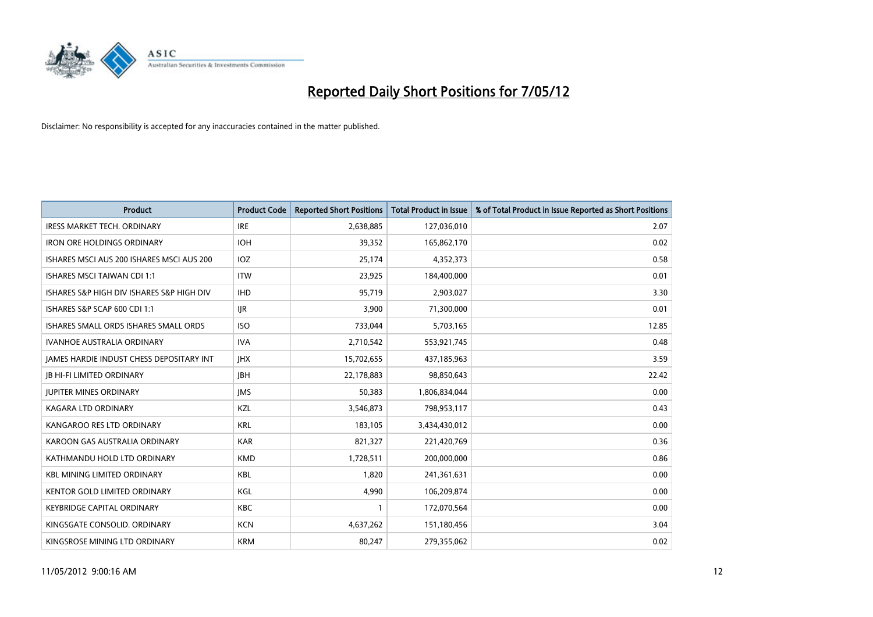

| <b>Product</b>                            | <b>Product Code</b> | <b>Reported Short Positions</b> | <b>Total Product in Issue</b> | % of Total Product in Issue Reported as Short Positions |
|-------------------------------------------|---------------------|---------------------------------|-------------------------------|---------------------------------------------------------|
| <b>IRESS MARKET TECH. ORDINARY</b>        | <b>IRE</b>          | 2,638,885                       | 127,036,010                   | 2.07                                                    |
| <b>IRON ORE HOLDINGS ORDINARY</b>         | <b>IOH</b>          | 39,352                          | 165,862,170                   | 0.02                                                    |
| ISHARES MSCI AUS 200 ISHARES MSCI AUS 200 | <b>IOZ</b>          | 25,174                          | 4,352,373                     | 0.58                                                    |
| <b>ISHARES MSCI TAIWAN CDI 1:1</b>        | <b>ITW</b>          | 23,925                          | 184,400,000                   | 0.01                                                    |
| ISHARES S&P HIGH DIV ISHARES S&P HIGH DIV | <b>IHD</b>          | 95,719                          | 2,903,027                     | 3.30                                                    |
| ISHARES S&P SCAP 600 CDI 1:1              | <b>IJR</b>          | 3,900                           | 71,300,000                    | 0.01                                                    |
| ISHARES SMALL ORDS ISHARES SMALL ORDS     | <b>ISO</b>          | 733,044                         | 5,703,165                     | 12.85                                                   |
| <b>IVANHOE AUSTRALIA ORDINARY</b>         | <b>IVA</b>          | 2,710,542                       | 553,921,745                   | 0.48                                                    |
| JAMES HARDIE INDUST CHESS DEPOSITARY INT  | <b>JHX</b>          | 15,702,655                      | 437,185,963                   | 3.59                                                    |
| <b>JB HI-FI LIMITED ORDINARY</b>          | <b>JBH</b>          | 22,178,883                      | 98,850,643                    | 22.42                                                   |
| <b>JUPITER MINES ORDINARY</b>             | <b>IMS</b>          | 50,383                          | 1,806,834,044                 | 0.00                                                    |
| <b>KAGARA LTD ORDINARY</b>                | <b>KZL</b>          | 3,546,873                       | 798,953,117                   | 0.43                                                    |
| KANGAROO RES LTD ORDINARY                 | <b>KRL</b>          | 183,105                         | 3,434,430,012                 | 0.00                                                    |
| KAROON GAS AUSTRALIA ORDINARY             | <b>KAR</b>          | 821,327                         | 221,420,769                   | 0.36                                                    |
| KATHMANDU HOLD LTD ORDINARY               | <b>KMD</b>          | 1,728,511                       | 200,000,000                   | 0.86                                                    |
| <b>KBL MINING LIMITED ORDINARY</b>        | KBL                 | 1,820                           | 241,361,631                   | 0.00                                                    |
| KENTOR GOLD LIMITED ORDINARY              | KGL                 | 4,990                           | 106,209,874                   | 0.00                                                    |
| <b>KEYBRIDGE CAPITAL ORDINARY</b>         | <b>KBC</b>          | 1                               | 172,070,564                   | 0.00                                                    |
| KINGSGATE CONSOLID, ORDINARY              | <b>KCN</b>          | 4,637,262                       | 151,180,456                   | 3.04                                                    |
| KINGSROSE MINING LTD ORDINARY             | <b>KRM</b>          | 80,247                          | 279,355,062                   | 0.02                                                    |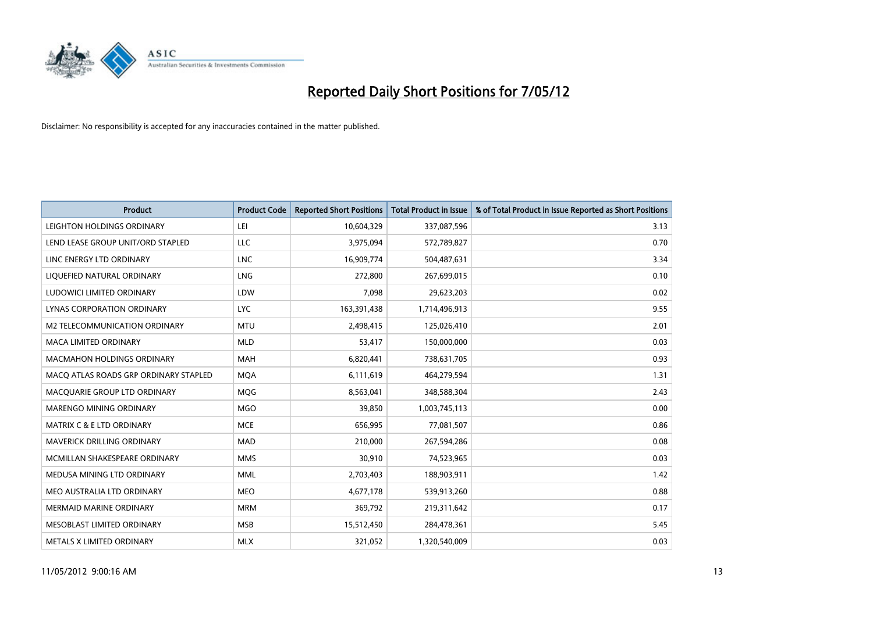

| <b>Product</b>                        | <b>Product Code</b> | <b>Reported Short Positions</b> | <b>Total Product in Issue</b> | % of Total Product in Issue Reported as Short Positions |
|---------------------------------------|---------------------|---------------------------------|-------------------------------|---------------------------------------------------------|
| LEIGHTON HOLDINGS ORDINARY            | LEI                 | 10,604,329                      | 337,087,596                   | 3.13                                                    |
| LEND LEASE GROUP UNIT/ORD STAPLED     | LLC                 | 3,975,094                       | 572,789,827                   | 0.70                                                    |
| LINC ENERGY LTD ORDINARY              | LNC                 | 16,909,774                      | 504,487,631                   | 3.34                                                    |
| LIQUEFIED NATURAL ORDINARY            | <b>LNG</b>          | 272,800                         | 267,699,015                   | 0.10                                                    |
| LUDOWICI LIMITED ORDINARY             | LDW                 | 7,098                           | 29,623,203                    | 0.02                                                    |
| <b>LYNAS CORPORATION ORDINARY</b>     | <b>LYC</b>          | 163,391,438                     | 1,714,496,913                 | 9.55                                                    |
| M2 TELECOMMUNICATION ORDINARY         | <b>MTU</b>          | 2,498,415                       | 125,026,410                   | 2.01                                                    |
| MACA LIMITED ORDINARY                 | <b>MLD</b>          | 53,417                          | 150,000,000                   | 0.03                                                    |
| <b>MACMAHON HOLDINGS ORDINARY</b>     | <b>MAH</b>          | 6,820,441                       | 738,631,705                   | 0.93                                                    |
| MACO ATLAS ROADS GRP ORDINARY STAPLED | <b>MQA</b>          | 6,111,619                       | 464,279,594                   | 1.31                                                    |
| MACQUARIE GROUP LTD ORDINARY          | MQG                 | 8,563,041                       | 348,588,304                   | 2.43                                                    |
| MARENGO MINING ORDINARY               | <b>MGO</b>          | 39,850                          | 1,003,745,113                 | 0.00                                                    |
| MATRIX C & E LTD ORDINARY             | <b>MCE</b>          | 656,995                         | 77,081,507                    | 0.86                                                    |
| MAVERICK DRILLING ORDINARY            | MAD                 | 210,000                         | 267,594,286                   | 0.08                                                    |
| MCMILLAN SHAKESPEARE ORDINARY         | <b>MMS</b>          | 30,910                          | 74,523,965                    | 0.03                                                    |
| MEDUSA MINING LTD ORDINARY            | MML                 | 2,703,403                       | 188,903,911                   | 1.42                                                    |
| MEO AUSTRALIA LTD ORDINARY            | MEO                 | 4,677,178                       | 539,913,260                   | 0.88                                                    |
| <b>MERMAID MARINE ORDINARY</b>        | <b>MRM</b>          | 369,792                         | 219,311,642                   | 0.17                                                    |
| MESOBLAST LIMITED ORDINARY            | <b>MSB</b>          | 15,512,450                      | 284,478,361                   | 5.45                                                    |
| METALS X LIMITED ORDINARY             | <b>MLX</b>          | 321,052                         | 1,320,540,009                 | 0.03                                                    |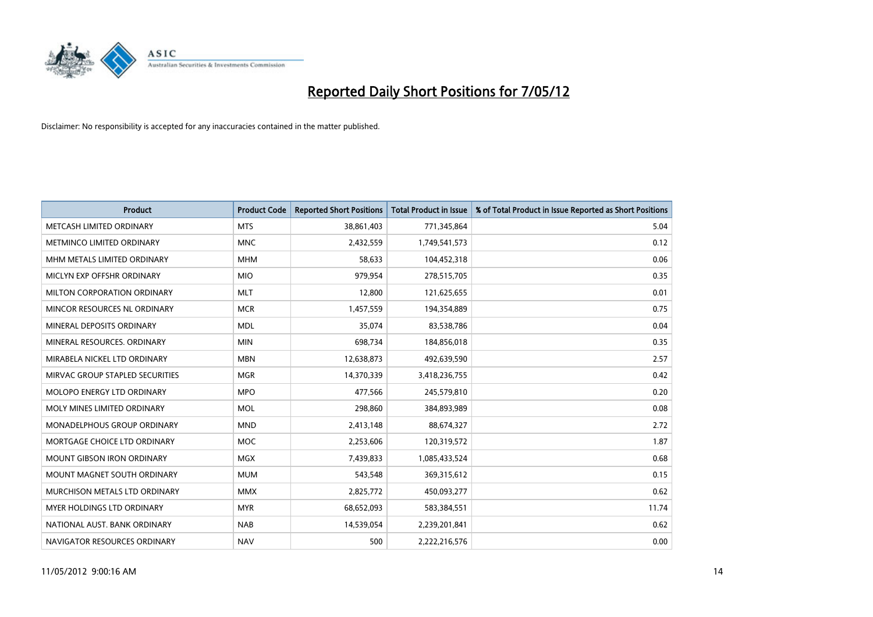

| <b>Product</b>                    | <b>Product Code</b> | <b>Reported Short Positions</b> | <b>Total Product in Issue</b> | % of Total Product in Issue Reported as Short Positions |
|-----------------------------------|---------------------|---------------------------------|-------------------------------|---------------------------------------------------------|
| METCASH LIMITED ORDINARY          | <b>MTS</b>          | 38,861,403                      | 771,345,864                   | 5.04                                                    |
| METMINCO LIMITED ORDINARY         | <b>MNC</b>          | 2,432,559                       | 1,749,541,573                 | 0.12                                                    |
| MHM METALS LIMITED ORDINARY       | <b>MHM</b>          | 58,633                          | 104,452,318                   | 0.06                                                    |
| MICLYN EXP OFFSHR ORDINARY        | <b>MIO</b>          | 979,954                         | 278,515,705                   | 0.35                                                    |
| MILTON CORPORATION ORDINARY       | <b>MLT</b>          | 12,800                          | 121,625,655                   | 0.01                                                    |
| MINCOR RESOURCES NL ORDINARY      | <b>MCR</b>          | 1,457,559                       | 194,354,889                   | 0.75                                                    |
| MINERAL DEPOSITS ORDINARY         | <b>MDL</b>          | 35,074                          | 83,538,786                    | 0.04                                                    |
| MINERAL RESOURCES. ORDINARY       | <b>MIN</b>          | 698,734                         | 184,856,018                   | 0.35                                                    |
| MIRABELA NICKEL LTD ORDINARY      | <b>MBN</b>          | 12,638,873                      | 492,639,590                   | 2.57                                                    |
| MIRVAC GROUP STAPLED SECURITIES   | <b>MGR</b>          | 14,370,339                      | 3,418,236,755                 | 0.42                                                    |
| MOLOPO ENERGY LTD ORDINARY        | <b>MPO</b>          | 477,566                         | 245,579,810                   | 0.20                                                    |
| MOLY MINES LIMITED ORDINARY       | <b>MOL</b>          | 298,860                         | 384,893,989                   | 0.08                                                    |
| MONADELPHOUS GROUP ORDINARY       | <b>MND</b>          | 2,413,148                       | 88,674,327                    | 2.72                                                    |
| MORTGAGE CHOICE LTD ORDINARY      | <b>MOC</b>          | 2,253,606                       | 120,319,572                   | 1.87                                                    |
| <b>MOUNT GIBSON IRON ORDINARY</b> | <b>MGX</b>          | 7,439,833                       | 1,085,433,524                 | 0.68                                                    |
| MOUNT MAGNET SOUTH ORDINARY       | <b>MUM</b>          | 543,548                         | 369,315,612                   | 0.15                                                    |
| MURCHISON METALS LTD ORDINARY     | <b>MMX</b>          | 2,825,772                       | 450,093,277                   | 0.62                                                    |
| MYER HOLDINGS LTD ORDINARY        | <b>MYR</b>          | 68,652,093                      | 583,384,551                   | 11.74                                                   |
| NATIONAL AUST, BANK ORDINARY      | <b>NAB</b>          | 14,539,054                      | 2,239,201,841                 | 0.62                                                    |
| NAVIGATOR RESOURCES ORDINARY      | <b>NAV</b>          | 500                             | 2,222,216,576                 | 0.00                                                    |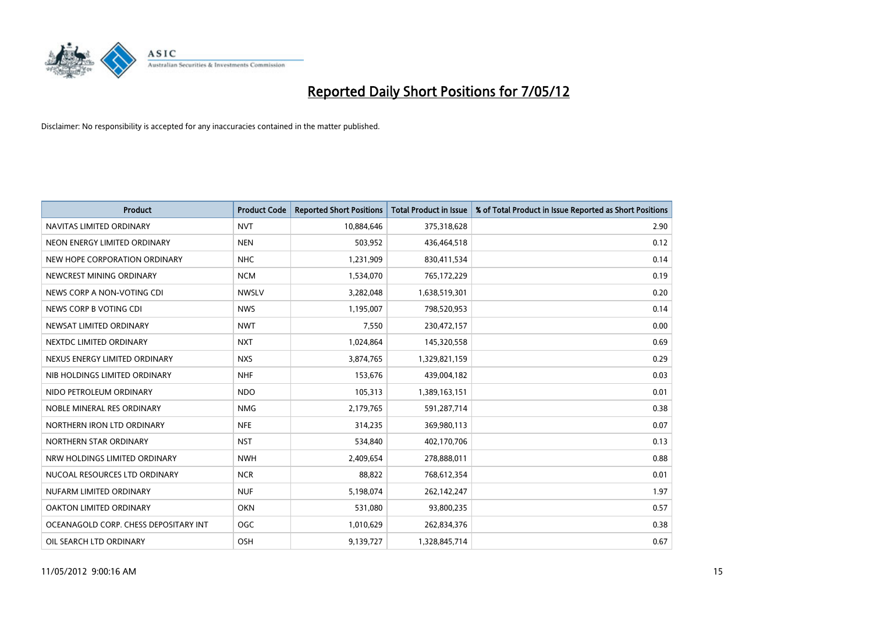

| <b>Product</b>                        | <b>Product Code</b> | <b>Reported Short Positions</b> | <b>Total Product in Issue</b> | % of Total Product in Issue Reported as Short Positions |
|---------------------------------------|---------------------|---------------------------------|-------------------------------|---------------------------------------------------------|
| NAVITAS LIMITED ORDINARY              | <b>NVT</b>          | 10,884,646                      | 375,318,628                   | 2.90                                                    |
| NEON ENERGY LIMITED ORDINARY          | <b>NEN</b>          | 503,952                         | 436,464,518                   | 0.12                                                    |
| NEW HOPE CORPORATION ORDINARY         | <b>NHC</b>          | 1,231,909                       | 830,411,534                   | 0.14                                                    |
| NEWCREST MINING ORDINARY              | <b>NCM</b>          | 1,534,070                       | 765,172,229                   | 0.19                                                    |
| NEWS CORP A NON-VOTING CDI            | <b>NWSLV</b>        | 3,282,048                       | 1,638,519,301                 | 0.20                                                    |
| NEWS CORP B VOTING CDI                | <b>NWS</b>          | 1,195,007                       | 798,520,953                   | 0.14                                                    |
| NEWSAT LIMITED ORDINARY               | <b>NWT</b>          | 7,550                           | 230,472,157                   | 0.00                                                    |
| NEXTDC LIMITED ORDINARY               | <b>NXT</b>          | 1,024,864                       | 145,320,558                   | 0.69                                                    |
| NEXUS ENERGY LIMITED ORDINARY         | <b>NXS</b>          | 3,874,765                       | 1,329,821,159                 | 0.29                                                    |
| NIB HOLDINGS LIMITED ORDINARY         | <b>NHF</b>          | 153,676                         | 439,004,182                   | 0.03                                                    |
| NIDO PETROLEUM ORDINARY               | <b>NDO</b>          | 105,313                         | 1,389,163,151                 | 0.01                                                    |
| NOBLE MINERAL RES ORDINARY            | <b>NMG</b>          | 2,179,765                       | 591,287,714                   | 0.38                                                    |
| NORTHERN IRON LTD ORDINARY            | <b>NFE</b>          | 314,235                         | 369,980,113                   | 0.07                                                    |
| NORTHERN STAR ORDINARY                | <b>NST</b>          | 534,840                         | 402,170,706                   | 0.13                                                    |
| NRW HOLDINGS LIMITED ORDINARY         | <b>NWH</b>          | 2,409,654                       | 278,888,011                   | 0.88                                                    |
| NUCOAL RESOURCES LTD ORDINARY         | <b>NCR</b>          | 88,822                          | 768,612,354                   | 0.01                                                    |
| NUFARM LIMITED ORDINARY               | <b>NUF</b>          | 5,198,074                       | 262,142,247                   | 1.97                                                    |
| OAKTON LIMITED ORDINARY               | <b>OKN</b>          | 531,080                         | 93,800,235                    | 0.57                                                    |
| OCEANAGOLD CORP. CHESS DEPOSITARY INT | <b>OGC</b>          | 1,010,629                       | 262,834,376                   | 0.38                                                    |
| OIL SEARCH LTD ORDINARY               | OSH                 | 9,139,727                       | 1,328,845,714                 | 0.67                                                    |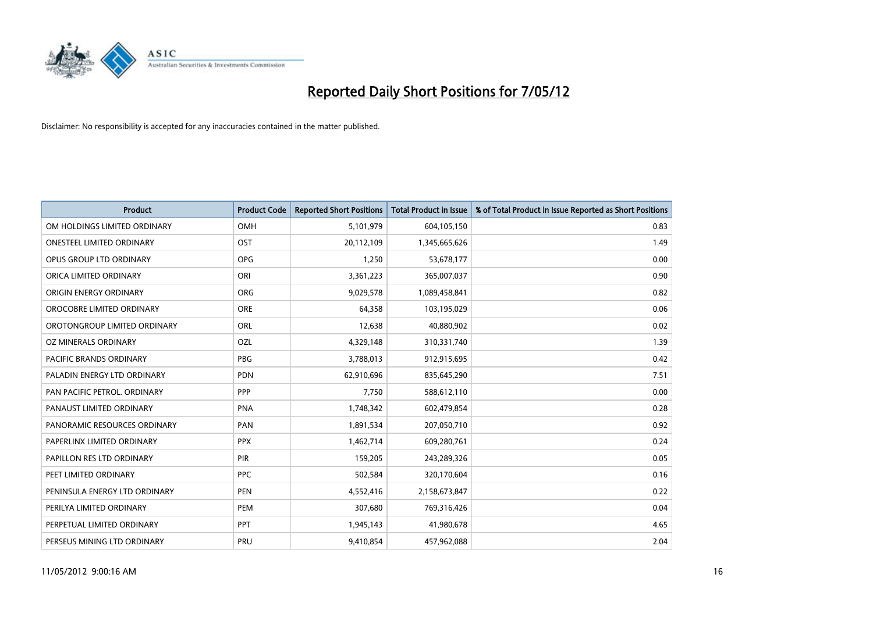

| <b>Product</b>                 | <b>Product Code</b> | <b>Reported Short Positions</b> | <b>Total Product in Issue</b> | % of Total Product in Issue Reported as Short Positions |
|--------------------------------|---------------------|---------------------------------|-------------------------------|---------------------------------------------------------|
| OM HOLDINGS LIMITED ORDINARY   | OMH                 | 5,101,979                       | 604,105,150                   | 0.83                                                    |
| ONESTEEL LIMITED ORDINARY      | OST                 | 20,112,109                      | 1,345,665,626                 | 1.49                                                    |
| OPUS GROUP LTD ORDINARY        | <b>OPG</b>          | 1,250                           | 53,678,177                    | 0.00                                                    |
| ORICA LIMITED ORDINARY         | ORI                 | 3,361,223                       | 365,007,037                   | 0.90                                                    |
| ORIGIN ENERGY ORDINARY         | <b>ORG</b>          | 9,029,578                       | 1,089,458,841                 | 0.82                                                    |
| OROCOBRE LIMITED ORDINARY      | <b>ORE</b>          | 64,358                          | 103,195,029                   | 0.06                                                    |
| OROTONGROUP LIMITED ORDINARY   | <b>ORL</b>          | 12,638                          | 40,880,902                    | 0.02                                                    |
| OZ MINERALS ORDINARY           | OZL                 | 4,329,148                       | 310,331,740                   | 1.39                                                    |
| <b>PACIFIC BRANDS ORDINARY</b> | <b>PBG</b>          | 3,788,013                       | 912,915,695                   | 0.42                                                    |
| PALADIN ENERGY LTD ORDINARY    | <b>PDN</b>          | 62,910,696                      | 835,645,290                   | 7.51                                                    |
| PAN PACIFIC PETROL. ORDINARY   | <b>PPP</b>          | 7,750                           | 588,612,110                   | 0.00                                                    |
| PANAUST LIMITED ORDINARY       | <b>PNA</b>          | 1,748,342                       | 602,479,854                   | 0.28                                                    |
| PANORAMIC RESOURCES ORDINARY   | PAN                 | 1,891,534                       | 207,050,710                   | 0.92                                                    |
| PAPERLINX LIMITED ORDINARY     | <b>PPX</b>          | 1,462,714                       | 609,280,761                   | 0.24                                                    |
| PAPILLON RES LTD ORDINARY      | PIR                 | 159,205                         | 243,289,326                   | 0.05                                                    |
| PEET LIMITED ORDINARY          | <b>PPC</b>          | 502,584                         | 320,170,604                   | 0.16                                                    |
| PENINSULA ENERGY LTD ORDINARY  | PEN                 | 4,552,416                       | 2,158,673,847                 | 0.22                                                    |
| PERILYA LIMITED ORDINARY       | <b>PEM</b>          | 307,680                         | 769,316,426                   | 0.04                                                    |
| PERPETUAL LIMITED ORDINARY     | <b>PPT</b>          | 1,945,143                       | 41,980,678                    | 4.65                                                    |
| PERSEUS MINING LTD ORDINARY    | PRU                 | 9,410,854                       | 457,962,088                   | 2.04                                                    |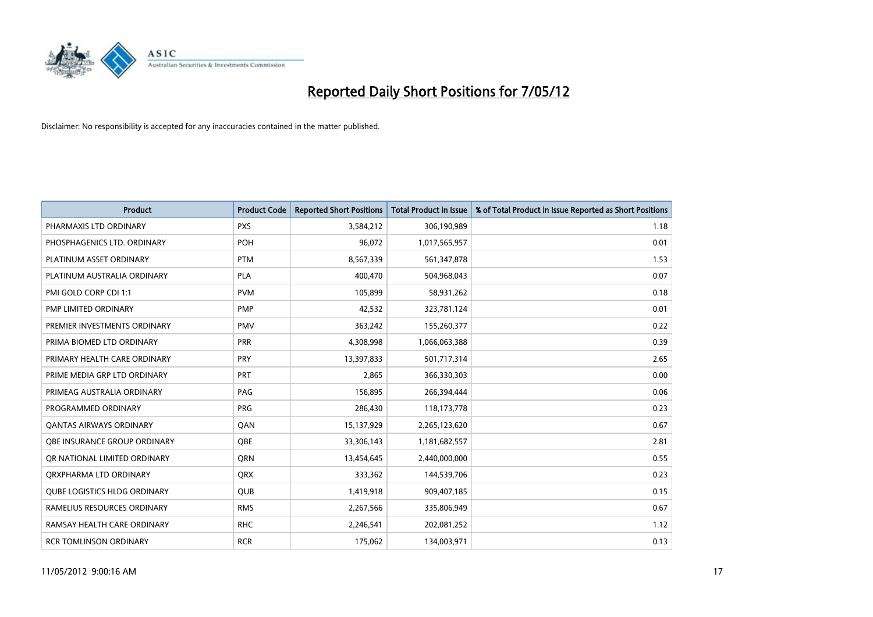

| <b>Product</b>                      | <b>Product Code</b> | <b>Reported Short Positions</b> | <b>Total Product in Issue</b> | % of Total Product in Issue Reported as Short Positions |
|-------------------------------------|---------------------|---------------------------------|-------------------------------|---------------------------------------------------------|
| PHARMAXIS LTD ORDINARY              | <b>PXS</b>          | 3,584,212                       | 306,190,989                   | 1.18                                                    |
| PHOSPHAGENICS LTD. ORDINARY         | POH                 | 96,072                          | 1,017,565,957                 | 0.01                                                    |
| PLATINUM ASSET ORDINARY             | <b>PTM</b>          | 8,567,339                       | 561,347,878                   | 1.53                                                    |
| PLATINUM AUSTRALIA ORDINARY         | <b>PLA</b>          | 400,470                         | 504,968,043                   | 0.07                                                    |
| PMI GOLD CORP CDI 1:1               | <b>PVM</b>          | 105,899                         | 58,931,262                    | 0.18                                                    |
| PMP LIMITED ORDINARY                | <b>PMP</b>          | 42,532                          | 323,781,124                   | 0.01                                                    |
| PREMIER INVESTMENTS ORDINARY        | <b>PMV</b>          | 363,242                         | 155,260,377                   | 0.22                                                    |
| PRIMA BIOMED LTD ORDINARY           | <b>PRR</b>          | 4,308,998                       | 1,066,063,388                 | 0.39                                                    |
| PRIMARY HEALTH CARE ORDINARY        | <b>PRY</b>          | 13,397,833                      | 501,717,314                   | 2.65                                                    |
| PRIME MEDIA GRP LTD ORDINARY        | PRT                 | 2,865                           | 366,330,303                   | 0.00                                                    |
| PRIMEAG AUSTRALIA ORDINARY          | PAG                 | 156,895                         | 266,394,444                   | 0.06                                                    |
| PROGRAMMED ORDINARY                 | <b>PRG</b>          | 286,430                         | 118,173,778                   | 0.23                                                    |
| <b>QANTAS AIRWAYS ORDINARY</b>      | QAN                 | 15,137,929                      | 2,265,123,620                 | 0.67                                                    |
| OBE INSURANCE GROUP ORDINARY        | OBE                 | 33,306,143                      | 1,181,682,557                 | 2.81                                                    |
| OR NATIONAL LIMITED ORDINARY        | <b>ORN</b>          | 13,454,645                      | 2,440,000,000                 | 0.55                                                    |
| ORXPHARMA LTD ORDINARY              | QRX                 | 333,362                         | 144,539,706                   | 0.23                                                    |
| <b>QUBE LOGISTICS HLDG ORDINARY</b> | QUB                 | 1,419,918                       | 909,407,185                   | 0.15                                                    |
| RAMELIUS RESOURCES ORDINARY         | <b>RMS</b>          | 2,267,566                       | 335,806,949                   | 0.67                                                    |
| RAMSAY HEALTH CARE ORDINARY         | <b>RHC</b>          | 2,246,541                       | 202,081,252                   | 1.12                                                    |
| <b>RCR TOMLINSON ORDINARY</b>       | <b>RCR</b>          | 175,062                         | 134,003,971                   | 0.13                                                    |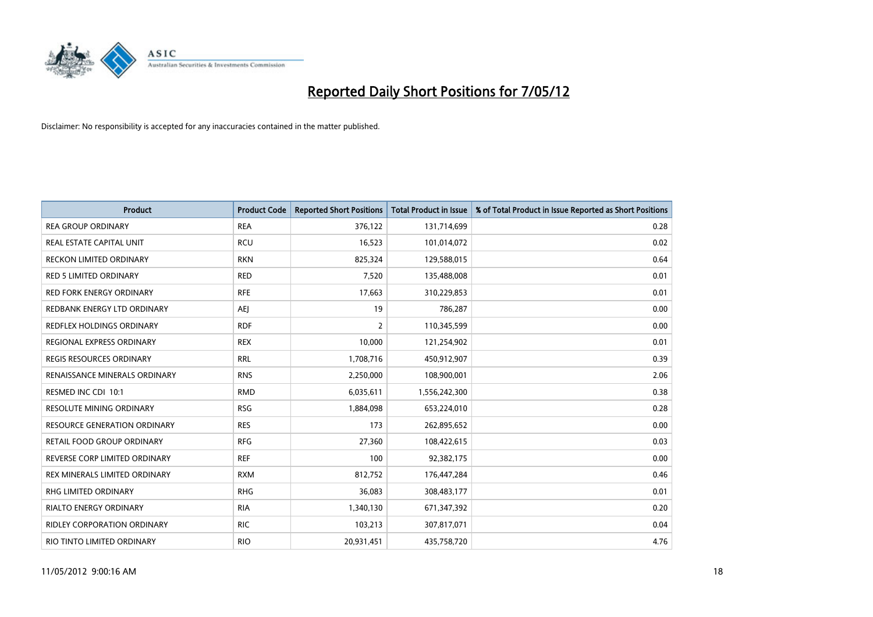

| <b>Product</b>                      | <b>Product Code</b> | <b>Reported Short Positions</b> | <b>Total Product in Issue</b> | % of Total Product in Issue Reported as Short Positions |
|-------------------------------------|---------------------|---------------------------------|-------------------------------|---------------------------------------------------------|
| <b>REA GROUP ORDINARY</b>           | <b>REA</b>          | 376,122                         | 131,714,699                   | 0.28                                                    |
| REAL ESTATE CAPITAL UNIT            | <b>RCU</b>          | 16,523                          | 101,014,072                   | 0.02                                                    |
| <b>RECKON LIMITED ORDINARY</b>      | <b>RKN</b>          | 825,324                         | 129,588,015                   | 0.64                                                    |
| <b>RED 5 LIMITED ORDINARY</b>       | <b>RED</b>          | 7,520                           | 135,488,008                   | 0.01                                                    |
| <b>RED FORK ENERGY ORDINARY</b>     | <b>RFE</b>          | 17,663                          | 310,229,853                   | 0.01                                                    |
| REDBANK ENERGY LTD ORDINARY         | AEJ                 | 19                              | 786,287                       | 0.00                                                    |
| REDFLEX HOLDINGS ORDINARY           | <b>RDF</b>          | $\overline{2}$                  | 110,345,599                   | 0.00                                                    |
| REGIONAL EXPRESS ORDINARY           | <b>REX</b>          | 10,000                          | 121,254,902                   | 0.01                                                    |
| <b>REGIS RESOURCES ORDINARY</b>     | <b>RRL</b>          | 1,708,716                       | 450,912,907                   | 0.39                                                    |
| RENAISSANCE MINERALS ORDINARY       | <b>RNS</b>          | 2,250,000                       | 108,900,001                   | 2.06                                                    |
| RESMED INC CDI 10:1                 | <b>RMD</b>          | 6,035,611                       | 1,556,242,300                 | 0.38                                                    |
| RESOLUTE MINING ORDINARY            | <b>RSG</b>          | 1,884,098                       | 653,224,010                   | 0.28                                                    |
| <b>RESOURCE GENERATION ORDINARY</b> | <b>RES</b>          | 173                             | 262,895,652                   | 0.00                                                    |
| <b>RETAIL FOOD GROUP ORDINARY</b>   | <b>RFG</b>          | 27,360                          | 108,422,615                   | 0.03                                                    |
| REVERSE CORP LIMITED ORDINARY       | <b>REF</b>          | 100                             | 92,382,175                    | 0.00                                                    |
| REX MINERALS LIMITED ORDINARY       | <b>RXM</b>          | 812,752                         | 176,447,284                   | 0.46                                                    |
| RHG LIMITED ORDINARY                | <b>RHG</b>          | 36,083                          | 308,483,177                   | 0.01                                                    |
| <b>RIALTO ENERGY ORDINARY</b>       | <b>RIA</b>          | 1,340,130                       | 671,347,392                   | 0.20                                                    |
| <b>RIDLEY CORPORATION ORDINARY</b>  | <b>RIC</b>          | 103,213                         | 307,817,071                   | 0.04                                                    |
| RIO TINTO LIMITED ORDINARY          | <b>RIO</b>          | 20,931,451                      | 435,758,720                   | 4.76                                                    |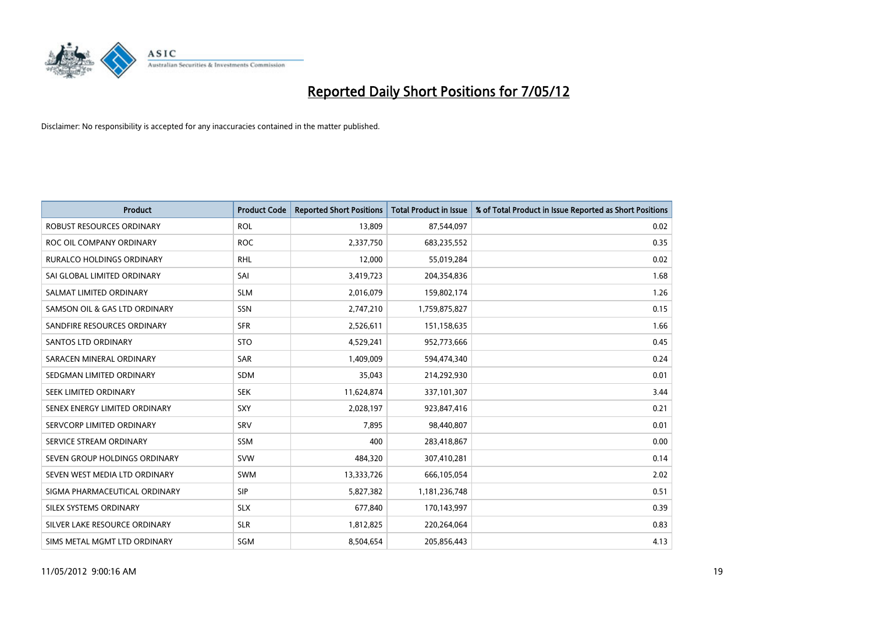

| <b>Product</b>                   | <b>Product Code</b> | <b>Reported Short Positions</b> | <b>Total Product in Issue</b> | % of Total Product in Issue Reported as Short Positions |
|----------------------------------|---------------------|---------------------------------|-------------------------------|---------------------------------------------------------|
| <b>ROBUST RESOURCES ORDINARY</b> | <b>ROL</b>          | 13,809                          | 87,544,097                    | 0.02                                                    |
| ROC OIL COMPANY ORDINARY         | <b>ROC</b>          | 2,337,750                       | 683,235,552                   | 0.35                                                    |
| <b>RURALCO HOLDINGS ORDINARY</b> | <b>RHL</b>          | 12,000                          | 55,019,284                    | 0.02                                                    |
| SAI GLOBAL LIMITED ORDINARY      | SAI                 | 3,419,723                       | 204,354,836                   | 1.68                                                    |
| SALMAT LIMITED ORDINARY          | <b>SLM</b>          | 2,016,079                       | 159,802,174                   | 1.26                                                    |
| SAMSON OIL & GAS LTD ORDINARY    | SSN                 | 2,747,210                       | 1,759,875,827                 | 0.15                                                    |
| SANDFIRE RESOURCES ORDINARY      | <b>SFR</b>          | 2,526,611                       | 151,158,635                   | 1.66                                                    |
| <b>SANTOS LTD ORDINARY</b>       | <b>STO</b>          | 4,529,241                       | 952,773,666                   | 0.45                                                    |
| SARACEN MINERAL ORDINARY         | <b>SAR</b>          | 1,409,009                       | 594,474,340                   | 0.24                                                    |
| SEDGMAN LIMITED ORDINARY         | <b>SDM</b>          | 35,043                          | 214,292,930                   | 0.01                                                    |
| SEEK LIMITED ORDINARY            | <b>SEK</b>          | 11,624,874                      | 337,101,307                   | 3.44                                                    |
| SENEX ENERGY LIMITED ORDINARY    | <b>SXY</b>          | 2,028,197                       | 923,847,416                   | 0.21                                                    |
| SERVCORP LIMITED ORDINARY        | SRV                 | 7,895                           | 98,440,807                    | 0.01                                                    |
| SERVICE STREAM ORDINARY          | SSM                 | 400                             | 283,418,867                   | 0.00                                                    |
| SEVEN GROUP HOLDINGS ORDINARY    | <b>SVW</b>          | 484,320                         | 307,410,281                   | 0.14                                                    |
| SEVEN WEST MEDIA LTD ORDINARY    | SWM                 | 13,333,726                      | 666,105,054                   | 2.02                                                    |
| SIGMA PHARMACEUTICAL ORDINARY    | <b>SIP</b>          | 5,827,382                       | 1,181,236,748                 | 0.51                                                    |
| SILEX SYSTEMS ORDINARY           | <b>SLX</b>          | 677,840                         | 170,143,997                   | 0.39                                                    |
| SILVER LAKE RESOURCE ORDINARY    | <b>SLR</b>          | 1,812,825                       | 220,264,064                   | 0.83                                                    |
| SIMS METAL MGMT LTD ORDINARY     | SGM                 | 8,504,654                       | 205,856,443                   | 4.13                                                    |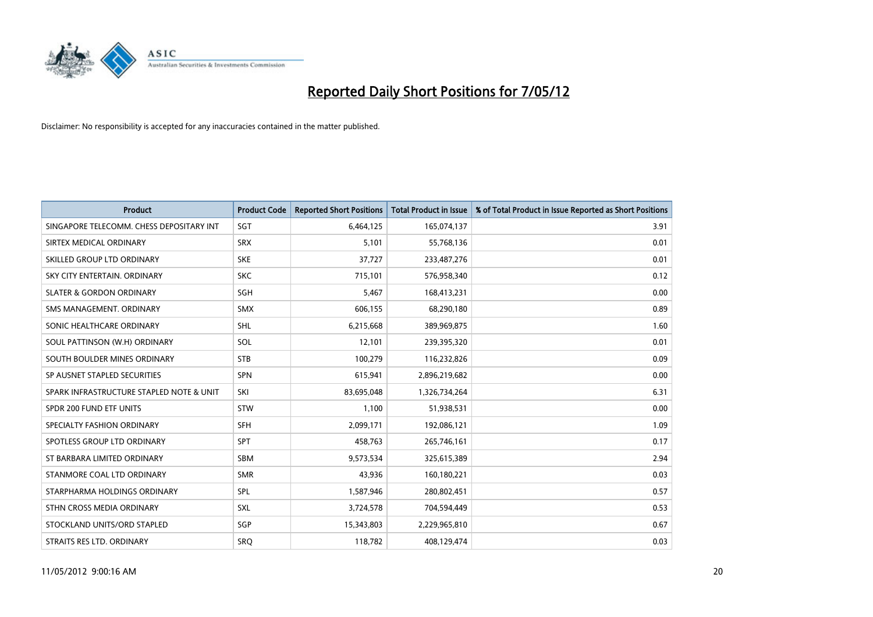

| <b>Product</b>                           | <b>Product Code</b> | <b>Reported Short Positions</b> | <b>Total Product in Issue</b> | % of Total Product in Issue Reported as Short Positions |
|------------------------------------------|---------------------|---------------------------------|-------------------------------|---------------------------------------------------------|
| SINGAPORE TELECOMM. CHESS DEPOSITARY INT | SGT                 | 6,464,125                       | 165,074,137                   | 3.91                                                    |
| SIRTEX MEDICAL ORDINARY                  | <b>SRX</b>          | 5,101                           | 55,768,136                    | 0.01                                                    |
| SKILLED GROUP LTD ORDINARY               | <b>SKE</b>          | 37,727                          | 233,487,276                   | 0.01                                                    |
| SKY CITY ENTERTAIN. ORDINARY             | <b>SKC</b>          | 715,101                         | 576,958,340                   | 0.12                                                    |
| <b>SLATER &amp; GORDON ORDINARY</b>      | SGH                 | 5,467                           | 168,413,231                   | 0.00                                                    |
| SMS MANAGEMENT, ORDINARY                 | <b>SMX</b>          | 606,155                         | 68,290,180                    | 0.89                                                    |
| SONIC HEALTHCARE ORDINARY                | <b>SHL</b>          | 6,215,668                       | 389,969,875                   | 1.60                                                    |
| SOUL PATTINSON (W.H) ORDINARY            | SOL                 | 12,101                          | 239,395,320                   | 0.01                                                    |
| SOUTH BOULDER MINES ORDINARY             | <b>STB</b>          | 100,279                         | 116,232,826                   | 0.09                                                    |
| SP AUSNET STAPLED SECURITIES             | <b>SPN</b>          | 615,941                         | 2,896,219,682                 | 0.00                                                    |
| SPARK INFRASTRUCTURE STAPLED NOTE & UNIT | SKI                 | 83,695,048                      | 1,326,734,264                 | 6.31                                                    |
| SPDR 200 FUND ETF UNITS                  | <b>STW</b>          | 1,100                           | 51,938,531                    | 0.00                                                    |
| SPECIALTY FASHION ORDINARY               | SFH                 | 2,099,171                       | 192,086,121                   | 1.09                                                    |
| SPOTLESS GROUP LTD ORDINARY              | <b>SPT</b>          | 458,763                         | 265,746,161                   | 0.17                                                    |
| ST BARBARA LIMITED ORDINARY              | <b>SBM</b>          | 9,573,534                       | 325,615,389                   | 2.94                                                    |
| STANMORE COAL LTD ORDINARY               | <b>SMR</b>          | 43,936                          | 160,180,221                   | 0.03                                                    |
| STARPHARMA HOLDINGS ORDINARY             | SPL                 | 1,587,946                       | 280,802,451                   | 0.57                                                    |
| STHN CROSS MEDIA ORDINARY                | <b>SXL</b>          | 3,724,578                       | 704,594,449                   | 0.53                                                    |
| STOCKLAND UNITS/ORD STAPLED              | <b>SGP</b>          | 15,343,803                      | 2,229,965,810                 | 0.67                                                    |
| STRAITS RES LTD. ORDINARY                | SRO                 | 118,782                         | 408,129,474                   | 0.03                                                    |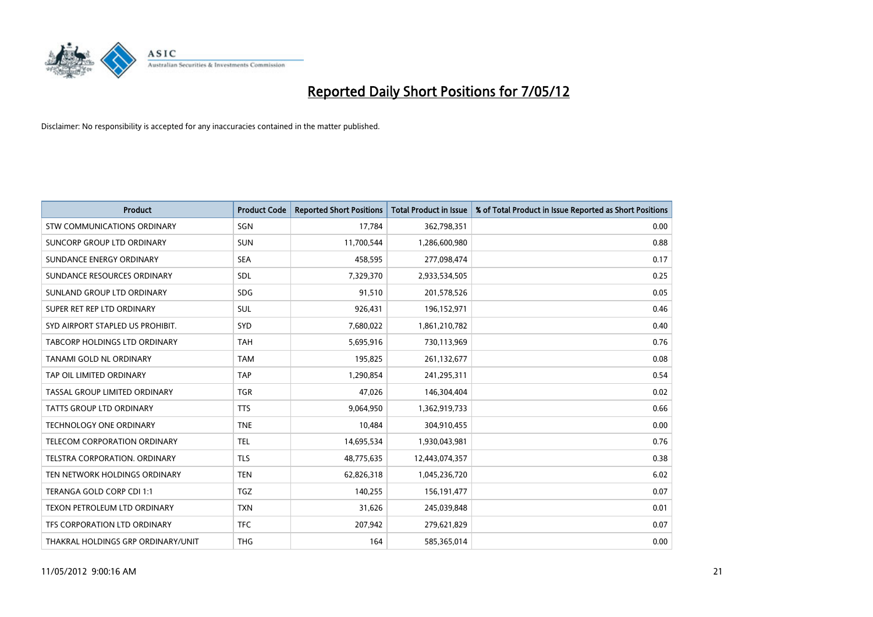

| <b>Product</b>                     | <b>Product Code</b> | <b>Reported Short Positions</b> | <b>Total Product in Issue</b> | % of Total Product in Issue Reported as Short Positions |
|------------------------------------|---------------------|---------------------------------|-------------------------------|---------------------------------------------------------|
| <b>STW COMMUNICATIONS ORDINARY</b> | SGN                 | 17,784                          | 362,798,351                   | 0.00                                                    |
| SUNCORP GROUP LTD ORDINARY         | <b>SUN</b>          | 11,700,544                      | 1,286,600,980                 | 0.88                                                    |
| SUNDANCE ENERGY ORDINARY           | <b>SEA</b>          | 458,595                         | 277,098,474                   | 0.17                                                    |
| SUNDANCE RESOURCES ORDINARY        | SDL                 | 7,329,370                       | 2,933,534,505                 | 0.25                                                    |
| SUNLAND GROUP LTD ORDINARY         | <b>SDG</b>          | 91,510                          | 201,578,526                   | 0.05                                                    |
| SUPER RET REP LTD ORDINARY         | SUL                 | 926,431                         | 196,152,971                   | 0.46                                                    |
| SYD AIRPORT STAPLED US PROHIBIT.   | <b>SYD</b>          | 7,680,022                       | 1,861,210,782                 | 0.40                                                    |
| TABCORP HOLDINGS LTD ORDINARY      | <b>TAH</b>          | 5,695,916                       | 730,113,969                   | 0.76                                                    |
| TANAMI GOLD NL ORDINARY            | <b>TAM</b>          | 195,825                         | 261,132,677                   | 0.08                                                    |
| TAP OIL LIMITED ORDINARY           | <b>TAP</b>          | 1,290,854                       | 241,295,311                   | 0.54                                                    |
| TASSAL GROUP LIMITED ORDINARY      | <b>TGR</b>          | 47,026                          | 146,304,404                   | 0.02                                                    |
| <b>TATTS GROUP LTD ORDINARY</b>    | <b>TTS</b>          | 9,064,950                       | 1,362,919,733                 | 0.66                                                    |
| <b>TECHNOLOGY ONE ORDINARY</b>     | <b>TNE</b>          | 10,484                          | 304,910,455                   | 0.00                                                    |
| TELECOM CORPORATION ORDINARY       | <b>TEL</b>          | 14,695,534                      | 1,930,043,981                 | 0.76                                                    |
| TELSTRA CORPORATION, ORDINARY      | <b>TLS</b>          | 48,775,635                      | 12,443,074,357                | 0.38                                                    |
| TEN NETWORK HOLDINGS ORDINARY      | <b>TEN</b>          | 62,826,318                      | 1,045,236,720                 | 6.02                                                    |
| TERANGA GOLD CORP CDI 1:1          | <b>TGZ</b>          | 140,255                         | 156,191,477                   | 0.07                                                    |
| TEXON PETROLEUM LTD ORDINARY       | <b>TXN</b>          | 31,626                          | 245,039,848                   | 0.01                                                    |
| TFS CORPORATION LTD ORDINARY       | <b>TFC</b>          | 207,942                         | 279,621,829                   | 0.07                                                    |
| THAKRAL HOLDINGS GRP ORDINARY/UNIT | <b>THG</b>          | 164                             | 585,365,014                   | 0.00                                                    |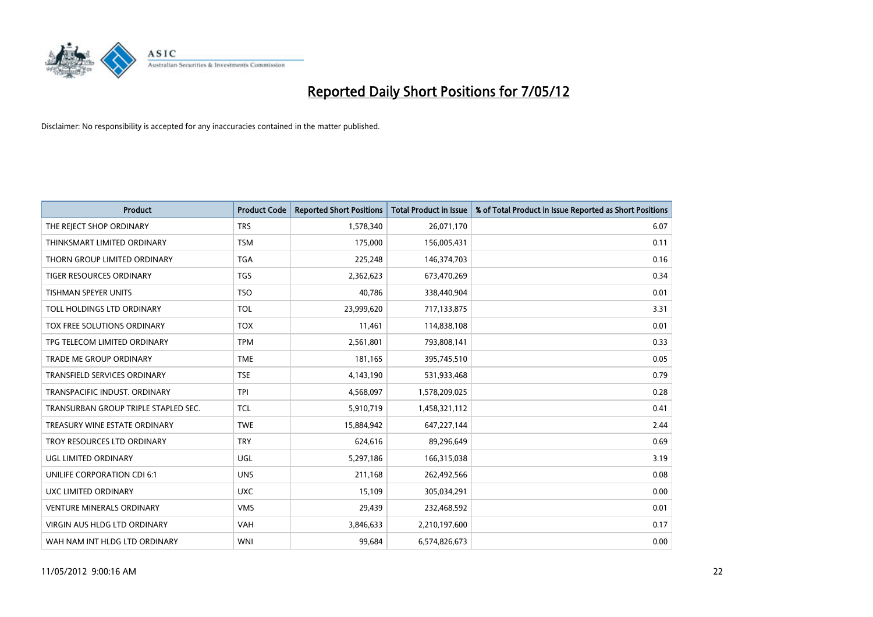

| <b>Product</b>                       | <b>Product Code</b> | <b>Reported Short Positions</b> | <b>Total Product in Issue</b> | % of Total Product in Issue Reported as Short Positions |
|--------------------------------------|---------------------|---------------------------------|-------------------------------|---------------------------------------------------------|
| THE REJECT SHOP ORDINARY             | <b>TRS</b>          | 1,578,340                       | 26,071,170                    | 6.07                                                    |
| THINKSMART LIMITED ORDINARY          | <b>TSM</b>          | 175,000                         | 156,005,431                   | 0.11                                                    |
| THORN GROUP LIMITED ORDINARY         | <b>TGA</b>          | 225,248                         | 146,374,703                   | 0.16                                                    |
| <b>TIGER RESOURCES ORDINARY</b>      | <b>TGS</b>          | 2,362,623                       | 673,470,269                   | 0.34                                                    |
| <b>TISHMAN SPEYER UNITS</b>          | <b>TSO</b>          | 40,786                          | 338,440,904                   | 0.01                                                    |
| TOLL HOLDINGS LTD ORDINARY           | <b>TOL</b>          | 23,999,620                      | 717,133,875                   | 3.31                                                    |
| TOX FREE SOLUTIONS ORDINARY          | <b>TOX</b>          | 11,461                          | 114,838,108                   | 0.01                                                    |
| TPG TELECOM LIMITED ORDINARY         | <b>TPM</b>          | 2,561,801                       | 793,808,141                   | 0.33                                                    |
| <b>TRADE ME GROUP ORDINARY</b>       | <b>TME</b>          | 181,165                         | 395,745,510                   | 0.05                                                    |
| <b>TRANSFIELD SERVICES ORDINARY</b>  | <b>TSE</b>          | 4,143,190                       | 531,933,468                   | 0.79                                                    |
| TRANSPACIFIC INDUST. ORDINARY        | <b>TPI</b>          | 4,568,097                       | 1,578,209,025                 | 0.28                                                    |
| TRANSURBAN GROUP TRIPLE STAPLED SEC. | TCL                 | 5,910,719                       | 1,458,321,112                 | 0.41                                                    |
| TREASURY WINE ESTATE ORDINARY        | <b>TWE</b>          | 15,884,942                      | 647,227,144                   | 2.44                                                    |
| TROY RESOURCES LTD ORDINARY          | <b>TRY</b>          | 624,616                         | 89,296,649                    | 0.69                                                    |
| UGL LIMITED ORDINARY                 | UGL                 | 5,297,186                       | 166,315,038                   | 3.19                                                    |
| UNILIFE CORPORATION CDI 6:1          | <b>UNS</b>          | 211,168                         | 262,492,566                   | 0.08                                                    |
| UXC LIMITED ORDINARY                 | <b>UXC</b>          | 15,109                          | 305,034,291                   | 0.00                                                    |
| <b>VENTURE MINERALS ORDINARY</b>     | <b>VMS</b>          | 29,439                          | 232,468,592                   | 0.01                                                    |
| VIRGIN AUS HLDG LTD ORDINARY         | <b>VAH</b>          | 3,846,633                       | 2,210,197,600                 | 0.17                                                    |
| WAH NAM INT HLDG LTD ORDINARY        | <b>WNI</b>          | 99,684                          | 6,574,826,673                 | 0.00                                                    |